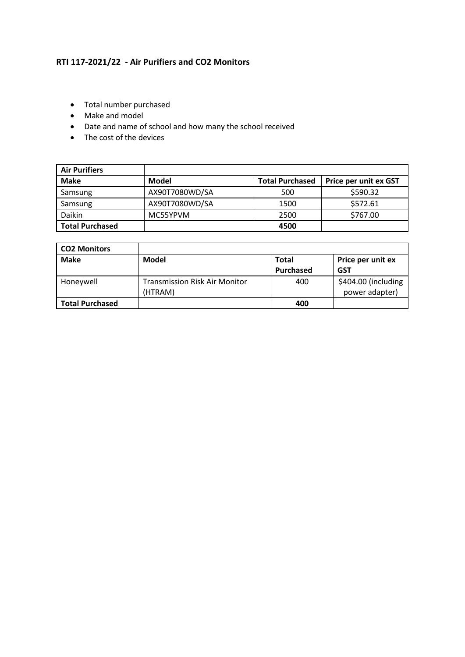## **RTI 117-2021/22 - Air Purifiers and CO2 Monitors**

- Total number purchased
- Make and model
- Date and name of school and how many the school received
- The cost of the devices

| <b>Air Purifiers</b>   |                |                        |                       |
|------------------------|----------------|------------------------|-----------------------|
| <b>Make</b>            | Model          | <b>Total Purchased</b> | Price per unit ex GST |
| Samsung                | AX90T7080WD/SA | 500                    | \$590.32              |
| Samsung                | AX90T7080WD/SA | 1500                   | \$572.61              |
| Daikin                 | MC55YPVM       | 2500                   | \$767.00              |
| <b>Total Purchased</b> |                | 4500                   |                       |

| <b>CO2 Monitors</b>    |                                                 |                  |                                       |
|------------------------|-------------------------------------------------|------------------|---------------------------------------|
| <b>Make</b>            | <b>Model</b>                                    | <b>Total</b>     | Price per unit ex                     |
|                        |                                                 | <b>Purchased</b> | <b>GST</b>                            |
| Honeywell              | <b>Transmission Risk Air Monitor</b><br>(HTRAM) | 400              | \$404.00 (including<br>power adapter) |
| <b>Total Purchased</b> |                                                 | 400              |                                       |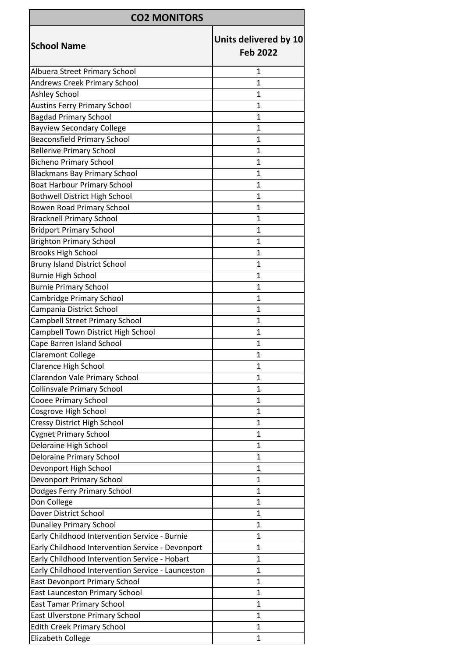| <b>CO2 MONITORS</b>                               |                                          |  |  |  |
|---------------------------------------------------|------------------------------------------|--|--|--|
| <b>School Name</b>                                | Units delivered by 10<br><b>Feb 2022</b> |  |  |  |
| Albuera Street Primary School                     | 1                                        |  |  |  |
| <b>Andrews Creek Primary School</b>               | 1                                        |  |  |  |
| Ashley School                                     | $\mathbf{1}$                             |  |  |  |
| <b>Austins Ferry Primary School</b>               | $\mathbf{1}$                             |  |  |  |
| <b>Bagdad Primary School</b>                      | 1                                        |  |  |  |
| <b>Bayview Secondary College</b>                  | $\mathbf{1}$                             |  |  |  |
| <b>Beaconsfield Primary School</b>                | 1                                        |  |  |  |
| <b>Bellerive Primary School</b>                   | 1                                        |  |  |  |
| <b>Bicheno Primary School</b>                     | $\mathbf{1}$                             |  |  |  |
| <b>Blackmans Bay Primary School</b>               | 1                                        |  |  |  |
| <b>Boat Harbour Primary School</b>                | $\mathbf{1}$                             |  |  |  |
| <b>Bothwell District High School</b>              | $\mathbf{1}$                             |  |  |  |
| <b>Bowen Road Primary School</b>                  | $\mathbf{1}$                             |  |  |  |
| <b>Bracknell Primary School</b>                   | $\mathbf{1}$                             |  |  |  |
| <b>Bridport Primary School</b>                    | $\mathbf{1}$                             |  |  |  |
| <b>Brighton Primary School</b>                    | 1                                        |  |  |  |
| <b>Brooks High School</b>                         | 1                                        |  |  |  |
| <b>Bruny Island District School</b>               | $\mathbf{1}$                             |  |  |  |
| <b>Burnie High School</b>                         | 1                                        |  |  |  |
| <b>Burnie Primary School</b>                      | $\mathbf{1}$                             |  |  |  |
| Cambridge Primary School                          | $\mathbf{1}$                             |  |  |  |
| Campania District School                          | 1                                        |  |  |  |
| Campbell Street Primary School                    | 1                                        |  |  |  |
| Campbell Town District High School                | 1                                        |  |  |  |
| Cape Barren Island School                         | $\mathbf{1}$                             |  |  |  |
| <b>Claremont College</b>                          | $\mathbf{1}$                             |  |  |  |
| <b>Clarence High School</b>                       | 1                                        |  |  |  |
| Clarendon Vale Primary School                     | 1                                        |  |  |  |
| Collinsvale Primary School                        | 1                                        |  |  |  |
| <b>Cooee Primary School</b>                       | $\mathbf{1}$                             |  |  |  |
| Cosgrove High School                              | $\mathbf{1}$                             |  |  |  |
| Cressy District High School                       | $\mathbf{1}$                             |  |  |  |
| <b>Cygnet Primary School</b>                      | 1                                        |  |  |  |
| Deloraine High School                             | $\mathbf{1}$                             |  |  |  |
| <b>Deloraine Primary School</b>                   | 1                                        |  |  |  |
| Devonport High School                             | 1                                        |  |  |  |
| Devonport Primary School                          | $\mathbf{1}$                             |  |  |  |
| Dodges Ferry Primary School                       | 1                                        |  |  |  |
| Don College                                       | 1                                        |  |  |  |
| Dover District School                             | $\mathbf{1}$                             |  |  |  |
| <b>Dunalley Primary School</b>                    | 1                                        |  |  |  |
| Early Childhood Intervention Service - Burnie     | 1                                        |  |  |  |
| Early Childhood Intervention Service - Devonport  | 1                                        |  |  |  |
| Early Childhood Intervention Service - Hobart     | 1                                        |  |  |  |
| Early Childhood Intervention Service - Launceston | 1                                        |  |  |  |
| East Devonport Primary School                     | 1                                        |  |  |  |
| East Launceston Primary School                    | 1                                        |  |  |  |
| <b>East Tamar Primary School</b>                  | 1                                        |  |  |  |
| East Ulverstone Primary School                    | $\mathbf{1}$                             |  |  |  |
| <b>Edith Creek Primary School</b>                 | 1                                        |  |  |  |
| Elizabeth College                                 | $\mathbf{1}$                             |  |  |  |
|                                                   |                                          |  |  |  |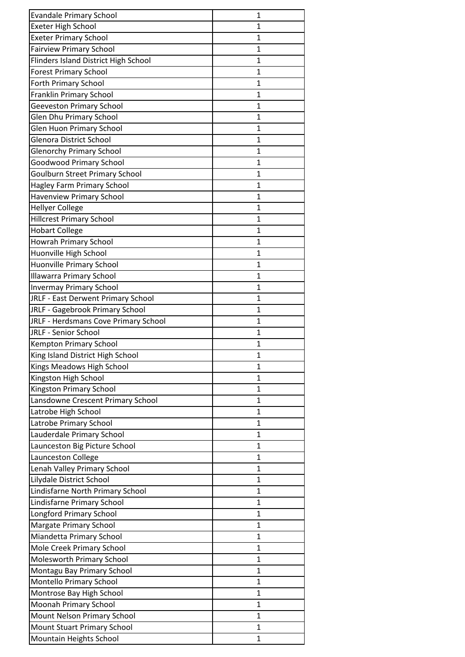| <b>Evandale Primary School</b>              | 1            |
|---------------------------------------------|--------------|
| <b>Exeter High School</b>                   | 1            |
| <b>Exeter Primary School</b>                | 1            |
| <b>Fairview Primary School</b>              | 1            |
| <b>Flinders Island District High School</b> | 1            |
| <b>Forest Primary School</b>                | 1            |
| <b>Forth Primary School</b>                 | 1            |
| Franklin Primary School                     | $\mathbf{1}$ |
| <b>Geeveston Primary School</b>             | 1            |
| <b>Glen Dhu Primary School</b>              | 1            |
| <b>Glen Huon Primary School</b>             | 1            |
| <b>Glenora District School</b>              | 1            |
| <b>Glenorchy Primary School</b>             | 1            |
| <b>Goodwood Primary School</b>              | $\mathbf{1}$ |
| <b>Goulburn Street Primary School</b>       | 1            |
| Hagley Farm Primary School                  | 1            |
| <b>Havenview Primary School</b>             | 1            |
| <b>Hellyer College</b>                      | 1            |
| <b>Hillcrest Primary School</b>             | $\mathbf 1$  |
| <b>Hobart College</b>                       | 1            |
| Howrah Primary School                       | 1            |
| Huonville High School                       | 1            |
| Huonville Primary School                    | $\mathbf{1}$ |
| <b>Illawarra Primary School</b>             | 1            |
| <b>Invermay Primary School</b>              | 1            |
| JRLF - East Derwent Primary School          | 1            |
| JRLF - Gagebrook Primary School             | 1            |
| JRLF - Herdsmans Cove Primary School        | 1            |
| JRLF - Senior School                        | 1            |
| <b>Kempton Primary School</b>               | 1            |
| King Island District High School            | 1            |
| Kings Meadows High School                   | 1            |
| Kingston High School                        | 1            |
| Kingston Primary School                     | 1            |
| Lansdowne Crescent Primary School           | 1            |
| Latrobe High School                         | 1            |
| Latrobe Primary School                      | 1            |
| Lauderdale Primary School                   | $\mathbf 1$  |
| Launceston Big Picture School               | 1            |
| Launceston College                          | 1            |
| Lenah Valley Primary School                 | 1            |
| Lilydale District School                    | 1            |
| Lindisfarne North Primary School            | $\mathbf{1}$ |
| Lindisfarne Primary School                  | 1            |
| Longford Primary School                     | 1            |
| <b>Margate Primary School</b>               | 1            |
| Miandetta Primary School                    | 1            |
| Mole Creek Primary School                   | $\mathbf 1$  |
| <b>Molesworth Primary School</b>            | 1            |
| Montagu Bay Primary School                  | 1            |
| Montello Primary School                     | 1            |
| Montrose Bay High School                    | 1            |
| Moonah Primary School                       | 1            |
| Mount Nelson Primary School                 | 1            |
| <b>Mount Stuart Primary School</b>          | 1            |
| Mountain Heights School                     | 1            |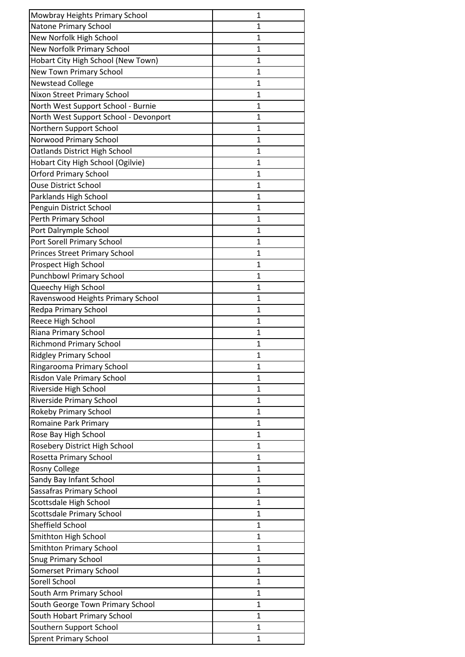| Mowbray Heights Primary School                                  | 1              |
|-----------------------------------------------------------------|----------------|
| Natone Primary School                                           | 1              |
| New Norfolk High School                                         | 1              |
| <b>New Norfolk Primary School</b>                               | 1              |
| Hobart City High School (New Town)                              | $\mathbf 1$    |
| New Town Primary School                                         | $\mathbf{1}$   |
| <b>Newstead College</b>                                         | 1              |
| Nixon Street Primary School                                     | 1              |
| North West Support School - Burnie                              | $\mathbf{1}$   |
| North West Support School - Devonport                           | 1              |
| Northern Support School                                         | 1              |
| Norwood Primary School                                          | $\mathbf{1}$   |
| Oatlands District High School                                   | 1              |
| Hobart City High School (Ogilvie)                               | 1              |
| <b>Orford Primary School</b>                                    | 1              |
| <b>Ouse District School</b>                                     | 1              |
| Parklands High School                                           | 1              |
| Penguin District School                                         | 1              |
| Perth Primary School                                            | $\overline{1}$ |
| Port Dalrymple School                                           | 1              |
| Port Sorell Primary School                                      | 1              |
| <b>Princes Street Primary School</b>                            | $\mathbf{1}$   |
| Prospect High School                                            | 1              |
| <b>Punchbowl Primary School</b>                                 | $\mathbf 1$    |
| Queechy High School                                             | 1              |
| Ravenswood Heights Primary School                               | 1              |
| Redpa Primary School                                            | $\mathbf 1$    |
| Reece High School                                               | $\mathbf{1}$   |
| Riana Primary School                                            | 1              |
| <b>Richmond Primary School</b>                                  | 1              |
| <b>Ridgley Primary School</b>                                   | $\mathbf{1}$   |
| Ringarooma Primary School                                       | 1              |
| Risdon Vale Primary School                                      | 1              |
| Riverside High School                                           | 1              |
| <b>Riverside Primary School</b>                                 | 1              |
| Rokeby Primary School                                           | $\mathbf 1$    |
| <b>Romaine Park Primary</b>                                     | 1              |
| Rose Bay High School                                            | 1              |
| Rosebery District High School                                   | 1              |
| Rosetta Primary School                                          | 1              |
| <b>Rosny College</b>                                            | 1              |
| Sandy Bay Infant School                                         | 1              |
| Sassafras Primary School                                        | 1              |
| Scottsdale High School                                          | 1              |
| <b>Scottsdale Primary School</b>                                | 1              |
| Sheffield School                                                | 1              |
| Smithton High School                                            | 1              |
| <b>Smithton Primary School</b>                                  | $\mathbf{1}$   |
| <b>Snug Primary School</b>                                      | $\mathbf 1$    |
| <b>Somerset Primary School</b>                                  | $\mathbf{1}$   |
| Sorell School                                                   | 1              |
|                                                                 | 1              |
| South Arm Primary School                                        | 1              |
| South George Town Primary School<br>South Hobart Primary School | 1              |
|                                                                 |                |
| Southern Support School                                         | $\mathbf{1}$   |
| <b>Sprent Primary School</b>                                    | 1              |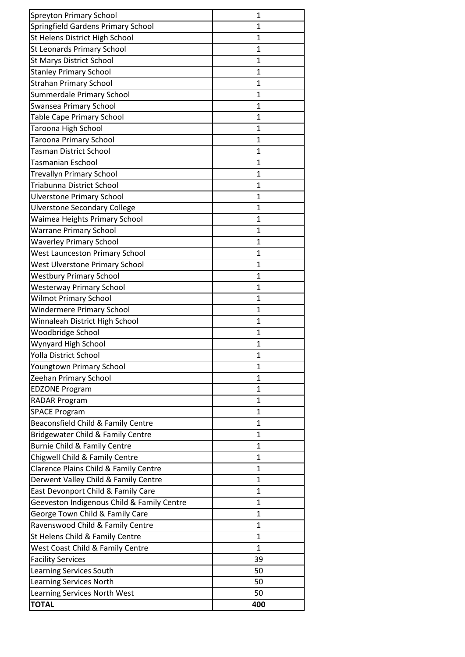| <b>Spreyton Primary School</b>             | 1            |
|--------------------------------------------|--------------|
| Springfield Gardens Primary School         | $\mathbf{1}$ |
| St Helens District High School             | 1            |
| St Leonards Primary School                 | 1            |
| <b>St Marys District School</b>            | 1            |
| <b>Stanley Primary School</b>              | 1            |
| <b>Strahan Primary School</b>              | $\mathbf{1}$ |
| Summerdale Primary School                  | 1            |
| Swansea Primary School                     | 1            |
| Table Cape Primary School                  | $\mathbf{1}$ |
| Taroona High School                        | 1            |
| <b>Taroona Primary School</b>              | 1            |
| <b>Tasman District School</b>              | 1            |
| Tasmanian Eschool                          | 1            |
| <b>Trevallyn Primary School</b>            | $\mathbf{1}$ |
| Triabunna District School                  | 1            |
| <b>Ulverstone Primary School</b>           | 1            |
| <b>Ulverstone Secondary College</b>        | 1            |
| Waimea Heights Primary School              | 1            |
| <b>Warrane Primary School</b>              | 1            |
| <b>Waverley Primary School</b>             | 1            |
| <b>West Launceston Primary School</b>      | 1            |
| West Ulverstone Primary School             | 1            |
| <b>Westbury Primary School</b>             | 1            |
| <b>Westerway Primary School</b>            | 1            |
| <b>Wilmot Primary School</b>               | 1            |
| <b>Windermere Primary School</b>           | 1            |
| Winnaleah District High School             | 1            |
| Woodbridge School                          | $\mathbf{1}$ |
| Wynyard High School                        | 1            |
| Yolla District School                      | 1            |
| Youngtown Primary School                   | $\mathbf{1}$ |
| Zeehan Primary School                      | 1            |
| <b>EDZONE Program</b>                      | 1            |
| <b>RADAR Program</b>                       | $\mathbf{1}$ |
| <b>SPACE Program</b>                       | 1            |
| Beaconsfield Child & Family Centre         | $\mathbf{1}$ |
| Bridgewater Child & Family Centre          | $\mathbf{1}$ |
| Burnie Child & Family Centre               | $\mathbf{1}$ |
| Chigwell Child & Family Centre             | $\mathbf{1}$ |
| Clarence Plains Child & Family Centre      | $\mathbf{1}$ |
| Derwent Valley Child & Family Centre       | 1            |
| East Devonport Child & Family Care         | 1            |
| Geeveston Indigenous Child & Family Centre | $\mathbf 1$  |
| George Town Child & Family Care            | 1            |
| Ravenswood Child & Family Centre           | 1            |
| St Helens Child & Family Centre            | 1            |
| West Coast Child & Family Centre           | $\mathbf{1}$ |
| <b>Facility Services</b>                   | 39           |
| Learning Services South                    | 50           |
| Learning Services North                    | 50           |
| <b>Learning Services North West</b>        | 50           |
| <b>TOTAL</b>                               | 400          |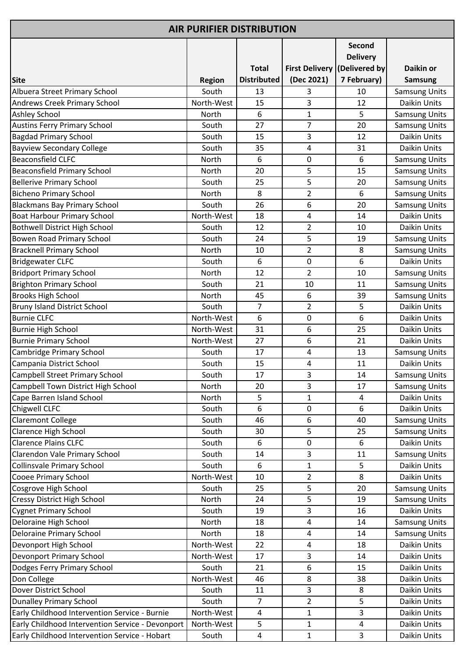| <b>AIR PURIFIER DISTRIBUTION</b>                 |               |                    |                       |                                  |                      |
|--------------------------------------------------|---------------|--------------------|-----------------------|----------------------------------|----------------------|
|                                                  |               |                    |                       | <b>Second</b><br><b>Delivery</b> |                      |
|                                                  |               | <b>Total</b>       | <b>First Delivery</b> | (Delivered by                    | Daikin or            |
| <b>Site</b>                                      | <b>Region</b> | <b>Distributed</b> | (Dec 2021)            | 7 February)                      | <b>Samsung</b>       |
| Albuera Street Primary School                    | South         | 13                 | 3                     | 10                               | <b>Samsung Units</b> |
| <b>Andrews Creek Primary School</b>              | North-West    | 15                 | 3                     | 12                               | Daikin Units         |
| <b>Ashley School</b>                             | North         | 6                  | $\mathbf{1}$          | 5                                | <b>Samsung Units</b> |
| <b>Austins Ferry Primary School</b>              | South         | 27                 | 7                     | 20                               | <b>Samsung Units</b> |
| <b>Bagdad Primary School</b>                     | South         | 15                 | 3                     | 12                               | Daikin Units         |
| <b>Bayview Secondary College</b>                 | South         | 35                 | 4                     | 31                               | Daikin Units         |
| <b>Beaconsfield CLFC</b>                         | North         | 6                  | $\mathbf 0$           | 6                                | <b>Samsung Units</b> |
| <b>Beaconsfield Primary School</b>               | North         | 20                 | 5                     | 15                               | Samsung Units        |
| <b>Bellerive Primary School</b>                  | South         | 25                 | 5                     | 20                               | <b>Samsung Units</b> |
| <b>Bicheno Primary School</b>                    | North         | 8                  | $\overline{2}$        | 6                                | <b>Samsung Units</b> |
| <b>Blackmans Bay Primary School</b>              | South         | 26                 | 6                     | 20                               | <b>Samsung Units</b> |
| <b>Boat Harbour Primary School</b>               | North-West    | 18                 | 4                     | 14                               | Daikin Units         |
| <b>Bothwell District High School</b>             | South         | 12                 | $\overline{2}$        | 10                               | Daikin Units         |
| Bowen Road Primary School                        | South         | 24                 | 5                     | 19                               | <b>Samsung Units</b> |
| <b>Bracknell Primary School</b>                  | North         | 10                 | $\overline{2}$        | 8                                | <b>Samsung Units</b> |
| <b>Bridgewater CLFC</b>                          | South         | 6                  | $\pmb{0}$             | 6                                | Daikin Units         |
| <b>Bridport Primary School</b>                   | North         | 12                 | $\overline{2}$        | 10                               | <b>Samsung Units</b> |
| <b>Brighton Primary School</b>                   | South         | 21                 | 10                    | 11                               | <b>Samsung Units</b> |
| <b>Brooks High School</b>                        | North         | 45                 | 6                     | 39                               | <b>Samsung Units</b> |
| <b>Bruny Island District School</b>              | South         | $\overline{7}$     | 2                     | 5                                | Daikin Units         |
| <b>Burnie CLFC</b>                               | North-West    | 6                  | $\mathbf 0$           | 6                                | Daikin Units         |
| Burnie High School                               | North-West    | 31                 | 6                     | 25                               | Daikin Units         |
| <b>Burnie Primary School</b>                     | North-West    | 27                 | 6                     | 21                               | Daikin Units         |
| Cambridge Primary School                         | South         | 17                 | 4                     | 13                               | <b>Samsung Units</b> |
| Campania District School                         | South         | 15                 | 4                     | 11                               | Daikin Units         |
| <b>Campbell Street Primary School</b>            | South         | 17                 | 3                     | 14                               | <b>Samsung Units</b> |
| Campbell Town District High School               | North         | 20                 | 3                     | 17                               | <b>Samsung Units</b> |
| Cape Barren Island School                        | North         | 5                  | $\mathbf{1}$          | 4                                | Daikin Units         |
| Chigwell CLFC                                    | South         | 6                  | 0                     | 6                                | Daikin Units         |
| <b>Claremont College</b>                         | South         | 46                 | 6                     | 40                               | <b>Samsung Units</b> |
| Clarence High School                             | South         | 30                 | 5                     | 25                               | <b>Samsung Units</b> |
| <b>Clarence Plains CLFC</b>                      | South         | 6                  | 0                     | 6                                | Daikin Units         |
| Clarendon Vale Primary School                    | South         | 14                 | 3                     | 11                               | <b>Samsung Units</b> |
| <b>Collinsvale Primary School</b>                | South         | 6                  | $\mathbf{1}$          | 5                                | Daikin Units         |
| Cooee Primary School                             | North-West    | 10                 | $\overline{2}$        | 8                                | Daikin Units         |
| Cosgrove High School                             | South         | 25                 | 5                     | 20                               | <b>Samsung Units</b> |
| Cressy District High School                      | North         | 24                 | 5                     | 19                               | <b>Samsung Units</b> |
| Cygnet Primary School                            | South         | 19                 | 3                     | 16                               | Daikin Units         |
| Deloraine High School                            | North         | 18                 | 4                     | 14                               | <b>Samsung Units</b> |
| <b>Deloraine Primary School</b>                  | North         | 18                 | 4                     | 14                               | <b>Samsung Units</b> |
| Devonport High School                            | North-West    | 22                 | 4                     | 18                               | Daikin Units         |
| <b>Devonport Primary School</b>                  | North-West    | 17                 | 3                     | 14                               | Daikin Units         |
| Dodges Ferry Primary School                      | South         | 21                 | 6                     | 15                               | Daikin Units         |
| Don College                                      | North-West    | 46                 | 8                     | 38                               | Daikin Units         |
| Dover District School                            | South         | 11                 | 3                     | 8                                | Daikin Units         |
| <b>Dunalley Primary School</b>                   | South         | $\overline{7}$     | $\overline{2}$        | 5                                | Daikin Units         |
| Early Childhood Intervention Service - Burnie    | North-West    | 4                  | 1                     | $\overline{3}$                   | Daikin Units         |
| Early Childhood Intervention Service - Devonport | North-West    | 5                  | $\mathbf{1}$          | $\overline{\mathbf{4}}$          | Daikin Units         |
| Early Childhood Intervention Service - Hobart    | South         | 4                  | $\mathbf{1}$          | 3                                | Daikin Units         |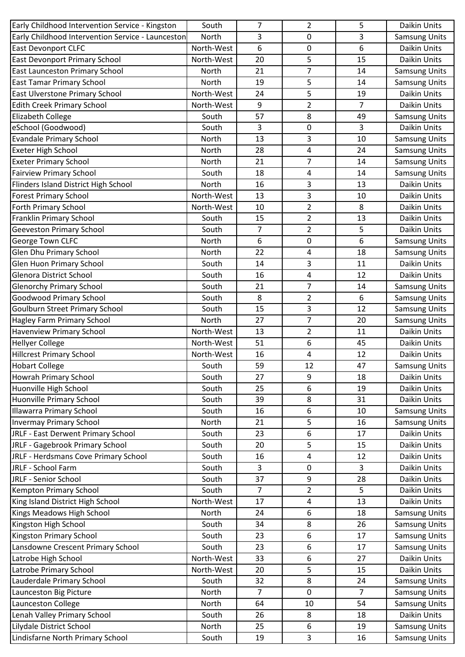| Early Childhood Intervention Service - Kingston   | South      | $\overline{7}$ | $\overline{2}$          | 5              | Daikin Units         |
|---------------------------------------------------|------------|----------------|-------------------------|----------------|----------------------|
| Early Childhood Intervention Service - Launceston | North      | 3              | 0                       | 3              | <b>Samsung Units</b> |
| <b>East Devonport CLFC</b>                        | North-West | 6              | 0                       | 6              | Daikin Units         |
| East Devonport Primary School                     | North-West | 20             | 5                       | 15             | Daikin Units         |
| East Launceston Primary School                    | North      | 21             | $\overline{7}$          | 14             | <b>Samsung Units</b> |
| <b>East Tamar Primary School</b>                  | North      | 19             | 5                       | 14             | <b>Samsung Units</b> |
| East Ulverstone Primary School                    | North-West | 24             | 5                       | 19             | Daikin Units         |
| <b>Edith Creek Primary School</b>                 | North-West | 9              | $\overline{2}$          | 7              | Daikin Units         |
| <b>Elizabeth College</b>                          | South      | 57             | 8                       | 49             | <b>Samsung Units</b> |
| eSchool (Goodwood)                                | South      | 3              | $\pmb{0}$               | 3              | Daikin Units         |
| <b>Evandale Primary School</b>                    | North      | 13             | 3                       | 10             | <b>Samsung Units</b> |
| Exeter High School                                | North      | 28             | 4                       | 24             | <b>Samsung Units</b> |
| <b>Exeter Primary School</b>                      | North      | 21             | 7                       | 14             | <b>Samsung Units</b> |
| <b>Fairview Primary School</b>                    | South      | 18             | 4                       | 14             | <b>Samsung Units</b> |
| Flinders Island District High School              | North      | 16             | 3                       | 13             | Daikin Units         |
| <b>Forest Primary School</b>                      | North-West | 13             | 3                       | 10             | Daikin Units         |
| <b>Forth Primary School</b>                       | North-West | 10             | $\overline{\mathbf{c}}$ | 8              | Daikin Units         |
| Franklin Primary School                           | South      | 15             | $\overline{2}$          | 13             | Daikin Units         |
| <b>Geeveston Primary School</b>                   | South      | $\overline{7}$ | $\overline{2}$          | 5              | Daikin Units         |
| George Town CLFC                                  | North      | 6              | $\pmb{0}$               | 6              | <b>Samsung Units</b> |
| Glen Dhu Primary School                           | North      | 22             | 4                       | 18             | <b>Samsung Units</b> |
| Glen Huon Primary School                          | South      | 14             | 3                       | 11             | Daikin Units         |
| <b>Glenora District School</b>                    | South      | 16             | 4                       | 12             | Daikin Units         |
| <b>Glenorchy Primary School</b>                   | South      | 21             | 7                       | 14             | <b>Samsung Units</b> |
| <b>Goodwood Primary School</b>                    | South      | 8              | $\overline{2}$          | 6              | <b>Samsung Units</b> |
| <b>Goulburn Street Primary School</b>             | South      | 15             | 3                       | 12             | <b>Samsung Units</b> |
| Hagley Farm Primary School                        | North      | 27             | $\overline{7}$          | 20             | Samsung Units        |
| Havenview Primary School                          | North-West | 13             | 2                       | 11             | Daikin Units         |
| <b>Hellyer College</b>                            | North-West | 51             | 6                       | 45             | Daikin Units         |
| <b>Hillcrest Primary School</b>                   | North-West | 16             | 4                       | 12             | Daikin Units         |
| <b>Hobart College</b>                             | South      | 59             | 12                      | 47             | <b>Samsung Units</b> |
| <b>Howrah Primary School</b>                      | South      | 27             | 9                       | 18             | Daikin Units         |
| Huonville High School                             | South      | 25             | 6                       | 19             | Daikin Units         |
| Huonville Primary School                          | South      | 39             | 8                       | 31             | Daikin Units         |
| <b>Illawarra Primary School</b>                   | South      | 16             | 6                       | 10             | <b>Samsung Units</b> |
| <b>Invermay Primary School</b>                    | North      | 21             | 5                       | 16             | <b>Samsung Units</b> |
| JRLF - East Derwent Primary School                | South      | 23             | 6                       | 17             | Daikin Units         |
| JRLF - Gagebrook Primary School                   | South      | 20             | 5                       | 15             | Daikin Units         |
| JRLF - Herdsmans Cove Primary School              | South      | 16             | 4                       | 12             | Daikin Units         |
| JRLF - School Farm                                | South      | 3              | 0                       | 3              | Daikin Units         |
| JRLF - Senior School                              | South      | 37             | 9                       | 28             | Daikin Units         |
| <b>Kempton Primary School</b>                     | South      | $\overline{7}$ | 2                       | 5              | Daikin Units         |
| King Island District High School                  | North-West | 17             | 4                       | 13             | Daikin Units         |
| Kings Meadows High School                         | North      | 24             | 6                       | 18             | <b>Samsung Units</b> |
| Kingston High School                              | South      | 34             | 8                       | 26             | <b>Samsung Units</b> |
| Kingston Primary School                           | South      | 23             | 6                       | 17             | <b>Samsung Units</b> |
| Lansdowne Crescent Primary School                 | South      | 23             | 6                       | 17             | <b>Samsung Units</b> |
| Latrobe High School                               | North-West | 33             | 6                       | 27             | Daikin Units         |
| Latrobe Primary School                            | North-West | 20             | 5                       | 15             | Daikin Units         |
| Lauderdale Primary School                         | South      | 32             | 8                       | 24             | <b>Samsung Units</b> |
| Launceston Big Picture                            | North      | $\overline{7}$ | $\mathbf 0$             | $\overline{7}$ | <b>Samsung Units</b> |
| Launceston College                                | North      | 64             | 10                      | 54             | <b>Samsung Units</b> |
| Lenah Valley Primary School                       | South      | 26             | 8                       | 18             | Daikin Units         |
| Lilydale District School                          | North      | 25             | 6                       | 19             | <b>Samsung Units</b> |
| Lindisfarne North Primary School                  | South      | 19             | 3                       | 16             | <b>Samsung Units</b> |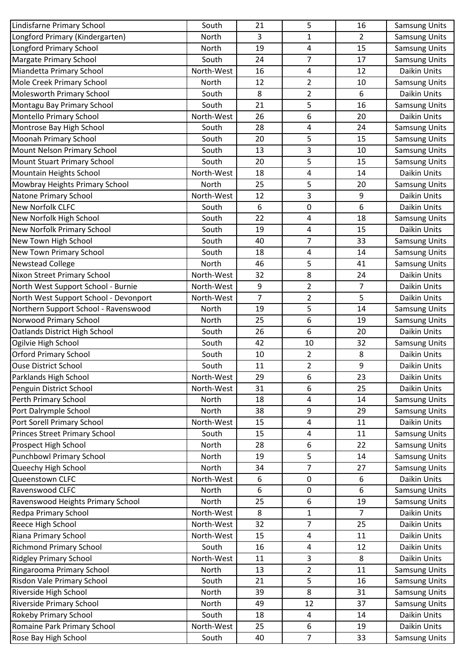| 3<br>$\overline{2}$<br>Longford Primary (Kindergarten)<br>North<br>$\mathbf{1}$<br><b>Samsung Units</b><br><b>Longford Primary School</b><br><b>Samsung Units</b><br>North<br>15<br>19<br>4<br>$\overline{7}$<br>17<br><b>Margate Primary School</b><br>South<br>24<br><b>Samsung Units</b><br>Daikin Units<br>Miandetta Primary School<br>North-West<br>12<br>16<br>4<br>Mole Creek Primary School<br>North<br>12<br>2<br>10<br><b>Samsung Units</b><br>6<br>Molesworth Primary School<br>8<br>$\overline{2}$<br>South<br>Daikin Units<br>5<br>Montagu Bay Primary School<br>South<br>21<br>16<br>Samsung Units<br>6<br>20<br>Montello Primary School<br>North-West<br>26<br>Daikin Units<br>Montrose Bay High School<br>24<br>South<br>28<br>4<br><b>Samsung Units</b><br><b>Moonah Primary School</b><br>15<br>South<br>20<br>5<br><b>Samsung Units</b><br>3<br>Mount Nelson Primary School<br>South<br>13<br>10<br><b>Samsung Units</b><br>5<br><b>Mount Stuart Primary School</b><br>South<br>20<br>15<br><b>Samsung Units</b><br>4<br>Daikin Units<br>Mountain Heights School<br>North-West<br>18<br>14<br>Mowbray Heights Primary School<br>5<br>North<br>25<br>20<br><b>Samsung Units</b><br><b>Natone Primary School</b><br>North-West<br>3<br>9<br>12<br>Daikin Units<br>6<br>New Norfolk CLFC<br>Daikin Units<br>6<br>$\mathbf 0$<br>South<br>New Norfolk High School<br>22<br>18<br>South<br>4<br><b>Samsung Units</b><br>4<br>New Norfolk Primary School<br>19<br>15<br>Daikin Units<br>South<br>New Town High School<br>$\overline{7}$<br>South<br>33<br>40<br><b>Samsung Units</b><br>New Town Primary School<br>South<br>14<br><b>Samsung Units</b><br>18<br>4<br>5<br><b>Newstead College</b><br><b>Samsung Units</b><br>North<br>41<br>46<br><b>Nixon Street Primary School</b><br>North-West<br>Daikin Units<br>32<br>8<br>24<br>$\overline{2}$<br>7<br>North West Support School - Burnie<br>North-West<br>9<br>Daikin Units<br>5<br>$\overline{7}$<br>North West Support School - Devonport<br>North-West<br>$\overline{2}$<br>Daikin Units<br>5<br>Northern Support School - Ravenswood<br>14<br>North<br>19<br><b>Samsung Units</b><br>6<br>Norwood Primary School<br>North<br>25<br>19<br>Samsung Units<br>6<br>20<br>Oatlands District High School<br>South<br>26<br>Daikin Units<br>Ogilvie High School<br>32<br>South<br>42<br>10<br><b>Samsung Units</b><br><b>Orford Primary School</b><br>8<br>Daikin Units<br>South<br>10<br>2<br>9<br>$\overline{\mathbf{c}}$<br><b>Ouse District School</b><br>11<br>Daikin Units<br>South<br>North-West<br>Daikin Units<br>29<br>6<br>23<br>6<br>Daikin Units<br>Penguin District School<br>North-West<br>31<br>25<br>North<br>14<br><b>Samsung Units</b><br>18<br>4<br>Port Dalrymple School<br>9<br>29<br>North<br>38<br><b>Samsung Units</b><br>Port Sorell Primary School<br>North-West<br>4<br>Daikin Units<br>15<br>11<br>15<br>11<br><b>Samsung Units</b><br>South<br>4<br>6<br>Prospect High School<br>North<br>28<br>22<br><b>Samsung Units</b><br>5<br>North<br>19<br>14<br><b>Samsung Units</b><br>Queechy High School<br>7<br>27<br><b>Samsung Units</b><br>North<br>34<br>Queenstown CLFC<br>North-West<br>Daikin Units<br>0<br>6<br>6<br>Ravenswood CLFC<br>6<br>6<br>North<br><b>Samsung Units</b><br>0<br>6<br>25<br>19<br>Ravenswood Heights Primary School<br>North<br><b>Samsung Units</b><br>$\overline{7}$<br>Daikin Units<br>Redpa Primary School<br>North-West<br>8<br>$\mathbf{1}$<br>Reece High School<br>7<br>25<br>Daikin Units<br>North-West<br>32<br>Riana Primary School<br>North-West<br>11<br>Daikin Units<br>15<br>4<br><b>Richmond Primary School</b><br>South<br>12<br>Daikin Units<br>16<br>4<br><b>Ridgley Primary School</b><br>3<br>Daikin Units<br>North-West<br>8<br>11<br>Ringarooma Primary School<br>13<br>$\overline{2}$<br>11<br>North<br><b>Samsung Units</b><br>5<br>Risdon Vale Primary School<br>South<br>21<br>16<br><b>Samsung Units</b><br>Riverside High School<br>North<br>8<br><b>Samsung Units</b><br>39<br>31<br>37<br><b>Samsung Units</b><br><b>Riverside Primary School</b><br>North<br>49<br>12<br><b>Rokeby Primary School</b><br>Daikin Units<br>South<br>18<br>4<br>14<br>Romaine Park Primary School<br>North-West<br>25<br>6<br>19<br>Daikin Units | Lindisfarne Primary School           | South | 21 | 5 | 16 | <b>Samsung Units</b> |
|-----------------------------------------------------------------------------------------------------------------------------------------------------------------------------------------------------------------------------------------------------------------------------------------------------------------------------------------------------------------------------------------------------------------------------------------------------------------------------------------------------------------------------------------------------------------------------------------------------------------------------------------------------------------------------------------------------------------------------------------------------------------------------------------------------------------------------------------------------------------------------------------------------------------------------------------------------------------------------------------------------------------------------------------------------------------------------------------------------------------------------------------------------------------------------------------------------------------------------------------------------------------------------------------------------------------------------------------------------------------------------------------------------------------------------------------------------------------------------------------------------------------------------------------------------------------------------------------------------------------------------------------------------------------------------------------------------------------------------------------------------------------------------------------------------------------------------------------------------------------------------------------------------------------------------------------------------------------------------------------------------------------------------------------------------------------------------------------------------------------------------------------------------------------------------------------------------------------------------------------------------------------------------------------------------------------------------------------------------------------------------------------------------------------------------------------------------------------------------------------------------------------------------------------------------------------------------------------------------------------------------------------------------------------------------------------------------------------------------------------------------------------------------------------------------------------------------------------------------------------------------------------------------------------------------------------------------------------------------------------------------------------------------------------------------------------------------------------------------------------------------------------------------------------------------------------------------------------------------------------------------------------------------------------------------------------------------------------------------------------------------------------------------------------------------------------------------------------------------------------------------------------------------------------------------------------------------------------------------------------------------------------------------------------------------------------------------------------------------------------------------------------------------------------------------------------------------------------------------------------------------------------------------------------------------------------------------------------------------------------------------------------------------------------------------------------------------------------------------------------------------------------------------------------------------------------------------------------------------------------------------------------------------------------|--------------------------------------|-------|----|---|----|----------------------|
|                                                                                                                                                                                                                                                                                                                                                                                                                                                                                                                                                                                                                                                                                                                                                                                                                                                                                                                                                                                                                                                                                                                                                                                                                                                                                                                                                                                                                                                                                                                                                                                                                                                                                                                                                                                                                                                                                                                                                                                                                                                                                                                                                                                                                                                                                                                                                                                                                                                                                                                                                                                                                                                                                                                                                                                                                                                                                                                                                                                                                                                                                                                                                                                                                                                                                                                                                                                                                                                                                                                                                                                                                                                                                                                                                                                                                                                                                                                                                                                                                                                                                                                                                                                                                                                                                         |                                      |       |    |   |    |                      |
|                                                                                                                                                                                                                                                                                                                                                                                                                                                                                                                                                                                                                                                                                                                                                                                                                                                                                                                                                                                                                                                                                                                                                                                                                                                                                                                                                                                                                                                                                                                                                                                                                                                                                                                                                                                                                                                                                                                                                                                                                                                                                                                                                                                                                                                                                                                                                                                                                                                                                                                                                                                                                                                                                                                                                                                                                                                                                                                                                                                                                                                                                                                                                                                                                                                                                                                                                                                                                                                                                                                                                                                                                                                                                                                                                                                                                                                                                                                                                                                                                                                                                                                                                                                                                                                                                         |                                      |       |    |   |    |                      |
|                                                                                                                                                                                                                                                                                                                                                                                                                                                                                                                                                                                                                                                                                                                                                                                                                                                                                                                                                                                                                                                                                                                                                                                                                                                                                                                                                                                                                                                                                                                                                                                                                                                                                                                                                                                                                                                                                                                                                                                                                                                                                                                                                                                                                                                                                                                                                                                                                                                                                                                                                                                                                                                                                                                                                                                                                                                                                                                                                                                                                                                                                                                                                                                                                                                                                                                                                                                                                                                                                                                                                                                                                                                                                                                                                                                                                                                                                                                                                                                                                                                                                                                                                                                                                                                                                         |                                      |       |    |   |    |                      |
|                                                                                                                                                                                                                                                                                                                                                                                                                                                                                                                                                                                                                                                                                                                                                                                                                                                                                                                                                                                                                                                                                                                                                                                                                                                                                                                                                                                                                                                                                                                                                                                                                                                                                                                                                                                                                                                                                                                                                                                                                                                                                                                                                                                                                                                                                                                                                                                                                                                                                                                                                                                                                                                                                                                                                                                                                                                                                                                                                                                                                                                                                                                                                                                                                                                                                                                                                                                                                                                                                                                                                                                                                                                                                                                                                                                                                                                                                                                                                                                                                                                                                                                                                                                                                                                                                         |                                      |       |    |   |    |                      |
|                                                                                                                                                                                                                                                                                                                                                                                                                                                                                                                                                                                                                                                                                                                                                                                                                                                                                                                                                                                                                                                                                                                                                                                                                                                                                                                                                                                                                                                                                                                                                                                                                                                                                                                                                                                                                                                                                                                                                                                                                                                                                                                                                                                                                                                                                                                                                                                                                                                                                                                                                                                                                                                                                                                                                                                                                                                                                                                                                                                                                                                                                                                                                                                                                                                                                                                                                                                                                                                                                                                                                                                                                                                                                                                                                                                                                                                                                                                                                                                                                                                                                                                                                                                                                                                                                         |                                      |       |    |   |    |                      |
|                                                                                                                                                                                                                                                                                                                                                                                                                                                                                                                                                                                                                                                                                                                                                                                                                                                                                                                                                                                                                                                                                                                                                                                                                                                                                                                                                                                                                                                                                                                                                                                                                                                                                                                                                                                                                                                                                                                                                                                                                                                                                                                                                                                                                                                                                                                                                                                                                                                                                                                                                                                                                                                                                                                                                                                                                                                                                                                                                                                                                                                                                                                                                                                                                                                                                                                                                                                                                                                                                                                                                                                                                                                                                                                                                                                                                                                                                                                                                                                                                                                                                                                                                                                                                                                                                         |                                      |       |    |   |    |                      |
|                                                                                                                                                                                                                                                                                                                                                                                                                                                                                                                                                                                                                                                                                                                                                                                                                                                                                                                                                                                                                                                                                                                                                                                                                                                                                                                                                                                                                                                                                                                                                                                                                                                                                                                                                                                                                                                                                                                                                                                                                                                                                                                                                                                                                                                                                                                                                                                                                                                                                                                                                                                                                                                                                                                                                                                                                                                                                                                                                                                                                                                                                                                                                                                                                                                                                                                                                                                                                                                                                                                                                                                                                                                                                                                                                                                                                                                                                                                                                                                                                                                                                                                                                                                                                                                                                         |                                      |       |    |   |    |                      |
|                                                                                                                                                                                                                                                                                                                                                                                                                                                                                                                                                                                                                                                                                                                                                                                                                                                                                                                                                                                                                                                                                                                                                                                                                                                                                                                                                                                                                                                                                                                                                                                                                                                                                                                                                                                                                                                                                                                                                                                                                                                                                                                                                                                                                                                                                                                                                                                                                                                                                                                                                                                                                                                                                                                                                                                                                                                                                                                                                                                                                                                                                                                                                                                                                                                                                                                                                                                                                                                                                                                                                                                                                                                                                                                                                                                                                                                                                                                                                                                                                                                                                                                                                                                                                                                                                         |                                      |       |    |   |    |                      |
|                                                                                                                                                                                                                                                                                                                                                                                                                                                                                                                                                                                                                                                                                                                                                                                                                                                                                                                                                                                                                                                                                                                                                                                                                                                                                                                                                                                                                                                                                                                                                                                                                                                                                                                                                                                                                                                                                                                                                                                                                                                                                                                                                                                                                                                                                                                                                                                                                                                                                                                                                                                                                                                                                                                                                                                                                                                                                                                                                                                                                                                                                                                                                                                                                                                                                                                                                                                                                                                                                                                                                                                                                                                                                                                                                                                                                                                                                                                                                                                                                                                                                                                                                                                                                                                                                         |                                      |       |    |   |    |                      |
|                                                                                                                                                                                                                                                                                                                                                                                                                                                                                                                                                                                                                                                                                                                                                                                                                                                                                                                                                                                                                                                                                                                                                                                                                                                                                                                                                                                                                                                                                                                                                                                                                                                                                                                                                                                                                                                                                                                                                                                                                                                                                                                                                                                                                                                                                                                                                                                                                                                                                                                                                                                                                                                                                                                                                                                                                                                                                                                                                                                                                                                                                                                                                                                                                                                                                                                                                                                                                                                                                                                                                                                                                                                                                                                                                                                                                                                                                                                                                                                                                                                                                                                                                                                                                                                                                         |                                      |       |    |   |    |                      |
|                                                                                                                                                                                                                                                                                                                                                                                                                                                                                                                                                                                                                                                                                                                                                                                                                                                                                                                                                                                                                                                                                                                                                                                                                                                                                                                                                                                                                                                                                                                                                                                                                                                                                                                                                                                                                                                                                                                                                                                                                                                                                                                                                                                                                                                                                                                                                                                                                                                                                                                                                                                                                                                                                                                                                                                                                                                                                                                                                                                                                                                                                                                                                                                                                                                                                                                                                                                                                                                                                                                                                                                                                                                                                                                                                                                                                                                                                                                                                                                                                                                                                                                                                                                                                                                                                         |                                      |       |    |   |    |                      |
|                                                                                                                                                                                                                                                                                                                                                                                                                                                                                                                                                                                                                                                                                                                                                                                                                                                                                                                                                                                                                                                                                                                                                                                                                                                                                                                                                                                                                                                                                                                                                                                                                                                                                                                                                                                                                                                                                                                                                                                                                                                                                                                                                                                                                                                                                                                                                                                                                                                                                                                                                                                                                                                                                                                                                                                                                                                                                                                                                                                                                                                                                                                                                                                                                                                                                                                                                                                                                                                                                                                                                                                                                                                                                                                                                                                                                                                                                                                                                                                                                                                                                                                                                                                                                                                                                         |                                      |       |    |   |    |                      |
|                                                                                                                                                                                                                                                                                                                                                                                                                                                                                                                                                                                                                                                                                                                                                                                                                                                                                                                                                                                                                                                                                                                                                                                                                                                                                                                                                                                                                                                                                                                                                                                                                                                                                                                                                                                                                                                                                                                                                                                                                                                                                                                                                                                                                                                                                                                                                                                                                                                                                                                                                                                                                                                                                                                                                                                                                                                                                                                                                                                                                                                                                                                                                                                                                                                                                                                                                                                                                                                                                                                                                                                                                                                                                                                                                                                                                                                                                                                                                                                                                                                                                                                                                                                                                                                                                         |                                      |       |    |   |    |                      |
|                                                                                                                                                                                                                                                                                                                                                                                                                                                                                                                                                                                                                                                                                                                                                                                                                                                                                                                                                                                                                                                                                                                                                                                                                                                                                                                                                                                                                                                                                                                                                                                                                                                                                                                                                                                                                                                                                                                                                                                                                                                                                                                                                                                                                                                                                                                                                                                                                                                                                                                                                                                                                                                                                                                                                                                                                                                                                                                                                                                                                                                                                                                                                                                                                                                                                                                                                                                                                                                                                                                                                                                                                                                                                                                                                                                                                                                                                                                                                                                                                                                                                                                                                                                                                                                                                         |                                      |       |    |   |    |                      |
|                                                                                                                                                                                                                                                                                                                                                                                                                                                                                                                                                                                                                                                                                                                                                                                                                                                                                                                                                                                                                                                                                                                                                                                                                                                                                                                                                                                                                                                                                                                                                                                                                                                                                                                                                                                                                                                                                                                                                                                                                                                                                                                                                                                                                                                                                                                                                                                                                                                                                                                                                                                                                                                                                                                                                                                                                                                                                                                                                                                                                                                                                                                                                                                                                                                                                                                                                                                                                                                                                                                                                                                                                                                                                                                                                                                                                                                                                                                                                                                                                                                                                                                                                                                                                                                                                         |                                      |       |    |   |    |                      |
|                                                                                                                                                                                                                                                                                                                                                                                                                                                                                                                                                                                                                                                                                                                                                                                                                                                                                                                                                                                                                                                                                                                                                                                                                                                                                                                                                                                                                                                                                                                                                                                                                                                                                                                                                                                                                                                                                                                                                                                                                                                                                                                                                                                                                                                                                                                                                                                                                                                                                                                                                                                                                                                                                                                                                                                                                                                                                                                                                                                                                                                                                                                                                                                                                                                                                                                                                                                                                                                                                                                                                                                                                                                                                                                                                                                                                                                                                                                                                                                                                                                                                                                                                                                                                                                                                         |                                      |       |    |   |    |                      |
|                                                                                                                                                                                                                                                                                                                                                                                                                                                                                                                                                                                                                                                                                                                                                                                                                                                                                                                                                                                                                                                                                                                                                                                                                                                                                                                                                                                                                                                                                                                                                                                                                                                                                                                                                                                                                                                                                                                                                                                                                                                                                                                                                                                                                                                                                                                                                                                                                                                                                                                                                                                                                                                                                                                                                                                                                                                                                                                                                                                                                                                                                                                                                                                                                                                                                                                                                                                                                                                                                                                                                                                                                                                                                                                                                                                                                                                                                                                                                                                                                                                                                                                                                                                                                                                                                         |                                      |       |    |   |    |                      |
|                                                                                                                                                                                                                                                                                                                                                                                                                                                                                                                                                                                                                                                                                                                                                                                                                                                                                                                                                                                                                                                                                                                                                                                                                                                                                                                                                                                                                                                                                                                                                                                                                                                                                                                                                                                                                                                                                                                                                                                                                                                                                                                                                                                                                                                                                                                                                                                                                                                                                                                                                                                                                                                                                                                                                                                                                                                                                                                                                                                                                                                                                                                                                                                                                                                                                                                                                                                                                                                                                                                                                                                                                                                                                                                                                                                                                                                                                                                                                                                                                                                                                                                                                                                                                                                                                         |                                      |       |    |   |    |                      |
|                                                                                                                                                                                                                                                                                                                                                                                                                                                                                                                                                                                                                                                                                                                                                                                                                                                                                                                                                                                                                                                                                                                                                                                                                                                                                                                                                                                                                                                                                                                                                                                                                                                                                                                                                                                                                                                                                                                                                                                                                                                                                                                                                                                                                                                                                                                                                                                                                                                                                                                                                                                                                                                                                                                                                                                                                                                                                                                                                                                                                                                                                                                                                                                                                                                                                                                                                                                                                                                                                                                                                                                                                                                                                                                                                                                                                                                                                                                                                                                                                                                                                                                                                                                                                                                                                         |                                      |       |    |   |    |                      |
|                                                                                                                                                                                                                                                                                                                                                                                                                                                                                                                                                                                                                                                                                                                                                                                                                                                                                                                                                                                                                                                                                                                                                                                                                                                                                                                                                                                                                                                                                                                                                                                                                                                                                                                                                                                                                                                                                                                                                                                                                                                                                                                                                                                                                                                                                                                                                                                                                                                                                                                                                                                                                                                                                                                                                                                                                                                                                                                                                                                                                                                                                                                                                                                                                                                                                                                                                                                                                                                                                                                                                                                                                                                                                                                                                                                                                                                                                                                                                                                                                                                                                                                                                                                                                                                                                         |                                      |       |    |   |    |                      |
|                                                                                                                                                                                                                                                                                                                                                                                                                                                                                                                                                                                                                                                                                                                                                                                                                                                                                                                                                                                                                                                                                                                                                                                                                                                                                                                                                                                                                                                                                                                                                                                                                                                                                                                                                                                                                                                                                                                                                                                                                                                                                                                                                                                                                                                                                                                                                                                                                                                                                                                                                                                                                                                                                                                                                                                                                                                                                                                                                                                                                                                                                                                                                                                                                                                                                                                                                                                                                                                                                                                                                                                                                                                                                                                                                                                                                                                                                                                                                                                                                                                                                                                                                                                                                                                                                         |                                      |       |    |   |    |                      |
|                                                                                                                                                                                                                                                                                                                                                                                                                                                                                                                                                                                                                                                                                                                                                                                                                                                                                                                                                                                                                                                                                                                                                                                                                                                                                                                                                                                                                                                                                                                                                                                                                                                                                                                                                                                                                                                                                                                                                                                                                                                                                                                                                                                                                                                                                                                                                                                                                                                                                                                                                                                                                                                                                                                                                                                                                                                                                                                                                                                                                                                                                                                                                                                                                                                                                                                                                                                                                                                                                                                                                                                                                                                                                                                                                                                                                                                                                                                                                                                                                                                                                                                                                                                                                                                                                         |                                      |       |    |   |    |                      |
|                                                                                                                                                                                                                                                                                                                                                                                                                                                                                                                                                                                                                                                                                                                                                                                                                                                                                                                                                                                                                                                                                                                                                                                                                                                                                                                                                                                                                                                                                                                                                                                                                                                                                                                                                                                                                                                                                                                                                                                                                                                                                                                                                                                                                                                                                                                                                                                                                                                                                                                                                                                                                                                                                                                                                                                                                                                                                                                                                                                                                                                                                                                                                                                                                                                                                                                                                                                                                                                                                                                                                                                                                                                                                                                                                                                                                                                                                                                                                                                                                                                                                                                                                                                                                                                                                         |                                      |       |    |   |    |                      |
|                                                                                                                                                                                                                                                                                                                                                                                                                                                                                                                                                                                                                                                                                                                                                                                                                                                                                                                                                                                                                                                                                                                                                                                                                                                                                                                                                                                                                                                                                                                                                                                                                                                                                                                                                                                                                                                                                                                                                                                                                                                                                                                                                                                                                                                                                                                                                                                                                                                                                                                                                                                                                                                                                                                                                                                                                                                                                                                                                                                                                                                                                                                                                                                                                                                                                                                                                                                                                                                                                                                                                                                                                                                                                                                                                                                                                                                                                                                                                                                                                                                                                                                                                                                                                                                                                         |                                      |       |    |   |    |                      |
|                                                                                                                                                                                                                                                                                                                                                                                                                                                                                                                                                                                                                                                                                                                                                                                                                                                                                                                                                                                                                                                                                                                                                                                                                                                                                                                                                                                                                                                                                                                                                                                                                                                                                                                                                                                                                                                                                                                                                                                                                                                                                                                                                                                                                                                                                                                                                                                                                                                                                                                                                                                                                                                                                                                                                                                                                                                                                                                                                                                                                                                                                                                                                                                                                                                                                                                                                                                                                                                                                                                                                                                                                                                                                                                                                                                                                                                                                                                                                                                                                                                                                                                                                                                                                                                                                         |                                      |       |    |   |    |                      |
|                                                                                                                                                                                                                                                                                                                                                                                                                                                                                                                                                                                                                                                                                                                                                                                                                                                                                                                                                                                                                                                                                                                                                                                                                                                                                                                                                                                                                                                                                                                                                                                                                                                                                                                                                                                                                                                                                                                                                                                                                                                                                                                                                                                                                                                                                                                                                                                                                                                                                                                                                                                                                                                                                                                                                                                                                                                                                                                                                                                                                                                                                                                                                                                                                                                                                                                                                                                                                                                                                                                                                                                                                                                                                                                                                                                                                                                                                                                                                                                                                                                                                                                                                                                                                                                                                         |                                      |       |    |   |    |                      |
|                                                                                                                                                                                                                                                                                                                                                                                                                                                                                                                                                                                                                                                                                                                                                                                                                                                                                                                                                                                                                                                                                                                                                                                                                                                                                                                                                                                                                                                                                                                                                                                                                                                                                                                                                                                                                                                                                                                                                                                                                                                                                                                                                                                                                                                                                                                                                                                                                                                                                                                                                                                                                                                                                                                                                                                                                                                                                                                                                                                                                                                                                                                                                                                                                                                                                                                                                                                                                                                                                                                                                                                                                                                                                                                                                                                                                                                                                                                                                                                                                                                                                                                                                                                                                                                                                         |                                      |       |    |   |    |                      |
|                                                                                                                                                                                                                                                                                                                                                                                                                                                                                                                                                                                                                                                                                                                                                                                                                                                                                                                                                                                                                                                                                                                                                                                                                                                                                                                                                                                                                                                                                                                                                                                                                                                                                                                                                                                                                                                                                                                                                                                                                                                                                                                                                                                                                                                                                                                                                                                                                                                                                                                                                                                                                                                                                                                                                                                                                                                                                                                                                                                                                                                                                                                                                                                                                                                                                                                                                                                                                                                                                                                                                                                                                                                                                                                                                                                                                                                                                                                                                                                                                                                                                                                                                                                                                                                                                         |                                      |       |    |   |    |                      |
|                                                                                                                                                                                                                                                                                                                                                                                                                                                                                                                                                                                                                                                                                                                                                                                                                                                                                                                                                                                                                                                                                                                                                                                                                                                                                                                                                                                                                                                                                                                                                                                                                                                                                                                                                                                                                                                                                                                                                                                                                                                                                                                                                                                                                                                                                                                                                                                                                                                                                                                                                                                                                                                                                                                                                                                                                                                                                                                                                                                                                                                                                                                                                                                                                                                                                                                                                                                                                                                                                                                                                                                                                                                                                                                                                                                                                                                                                                                                                                                                                                                                                                                                                                                                                                                                                         |                                      |       |    |   |    |                      |
|                                                                                                                                                                                                                                                                                                                                                                                                                                                                                                                                                                                                                                                                                                                                                                                                                                                                                                                                                                                                                                                                                                                                                                                                                                                                                                                                                                                                                                                                                                                                                                                                                                                                                                                                                                                                                                                                                                                                                                                                                                                                                                                                                                                                                                                                                                                                                                                                                                                                                                                                                                                                                                                                                                                                                                                                                                                                                                                                                                                                                                                                                                                                                                                                                                                                                                                                                                                                                                                                                                                                                                                                                                                                                                                                                                                                                                                                                                                                                                                                                                                                                                                                                                                                                                                                                         |                                      |       |    |   |    |                      |
|                                                                                                                                                                                                                                                                                                                                                                                                                                                                                                                                                                                                                                                                                                                                                                                                                                                                                                                                                                                                                                                                                                                                                                                                                                                                                                                                                                                                                                                                                                                                                                                                                                                                                                                                                                                                                                                                                                                                                                                                                                                                                                                                                                                                                                                                                                                                                                                                                                                                                                                                                                                                                                                                                                                                                                                                                                                                                                                                                                                                                                                                                                                                                                                                                                                                                                                                                                                                                                                                                                                                                                                                                                                                                                                                                                                                                                                                                                                                                                                                                                                                                                                                                                                                                                                                                         |                                      |       |    |   |    |                      |
|                                                                                                                                                                                                                                                                                                                                                                                                                                                                                                                                                                                                                                                                                                                                                                                                                                                                                                                                                                                                                                                                                                                                                                                                                                                                                                                                                                                                                                                                                                                                                                                                                                                                                                                                                                                                                                                                                                                                                                                                                                                                                                                                                                                                                                                                                                                                                                                                                                                                                                                                                                                                                                                                                                                                                                                                                                                                                                                                                                                                                                                                                                                                                                                                                                                                                                                                                                                                                                                                                                                                                                                                                                                                                                                                                                                                                                                                                                                                                                                                                                                                                                                                                                                                                                                                                         | Parklands High School                |       |    |   |    |                      |
|                                                                                                                                                                                                                                                                                                                                                                                                                                                                                                                                                                                                                                                                                                                                                                                                                                                                                                                                                                                                                                                                                                                                                                                                                                                                                                                                                                                                                                                                                                                                                                                                                                                                                                                                                                                                                                                                                                                                                                                                                                                                                                                                                                                                                                                                                                                                                                                                                                                                                                                                                                                                                                                                                                                                                                                                                                                                                                                                                                                                                                                                                                                                                                                                                                                                                                                                                                                                                                                                                                                                                                                                                                                                                                                                                                                                                                                                                                                                                                                                                                                                                                                                                                                                                                                                                         |                                      |       |    |   |    |                      |
|                                                                                                                                                                                                                                                                                                                                                                                                                                                                                                                                                                                                                                                                                                                                                                                                                                                                                                                                                                                                                                                                                                                                                                                                                                                                                                                                                                                                                                                                                                                                                                                                                                                                                                                                                                                                                                                                                                                                                                                                                                                                                                                                                                                                                                                                                                                                                                                                                                                                                                                                                                                                                                                                                                                                                                                                                                                                                                                                                                                                                                                                                                                                                                                                                                                                                                                                                                                                                                                                                                                                                                                                                                                                                                                                                                                                                                                                                                                                                                                                                                                                                                                                                                                                                                                                                         | Perth Primary School                 |       |    |   |    |                      |
|                                                                                                                                                                                                                                                                                                                                                                                                                                                                                                                                                                                                                                                                                                                                                                                                                                                                                                                                                                                                                                                                                                                                                                                                                                                                                                                                                                                                                                                                                                                                                                                                                                                                                                                                                                                                                                                                                                                                                                                                                                                                                                                                                                                                                                                                                                                                                                                                                                                                                                                                                                                                                                                                                                                                                                                                                                                                                                                                                                                                                                                                                                                                                                                                                                                                                                                                                                                                                                                                                                                                                                                                                                                                                                                                                                                                                                                                                                                                                                                                                                                                                                                                                                                                                                                                                         |                                      |       |    |   |    |                      |
|                                                                                                                                                                                                                                                                                                                                                                                                                                                                                                                                                                                                                                                                                                                                                                                                                                                                                                                                                                                                                                                                                                                                                                                                                                                                                                                                                                                                                                                                                                                                                                                                                                                                                                                                                                                                                                                                                                                                                                                                                                                                                                                                                                                                                                                                                                                                                                                                                                                                                                                                                                                                                                                                                                                                                                                                                                                                                                                                                                                                                                                                                                                                                                                                                                                                                                                                                                                                                                                                                                                                                                                                                                                                                                                                                                                                                                                                                                                                                                                                                                                                                                                                                                                                                                                                                         |                                      |       |    |   |    |                      |
|                                                                                                                                                                                                                                                                                                                                                                                                                                                                                                                                                                                                                                                                                                                                                                                                                                                                                                                                                                                                                                                                                                                                                                                                                                                                                                                                                                                                                                                                                                                                                                                                                                                                                                                                                                                                                                                                                                                                                                                                                                                                                                                                                                                                                                                                                                                                                                                                                                                                                                                                                                                                                                                                                                                                                                                                                                                                                                                                                                                                                                                                                                                                                                                                                                                                                                                                                                                                                                                                                                                                                                                                                                                                                                                                                                                                                                                                                                                                                                                                                                                                                                                                                                                                                                                                                         | <b>Princes Street Primary School</b> |       |    |   |    |                      |
|                                                                                                                                                                                                                                                                                                                                                                                                                                                                                                                                                                                                                                                                                                                                                                                                                                                                                                                                                                                                                                                                                                                                                                                                                                                                                                                                                                                                                                                                                                                                                                                                                                                                                                                                                                                                                                                                                                                                                                                                                                                                                                                                                                                                                                                                                                                                                                                                                                                                                                                                                                                                                                                                                                                                                                                                                                                                                                                                                                                                                                                                                                                                                                                                                                                                                                                                                                                                                                                                                                                                                                                                                                                                                                                                                                                                                                                                                                                                                                                                                                                                                                                                                                                                                                                                                         |                                      |       |    |   |    |                      |
|                                                                                                                                                                                                                                                                                                                                                                                                                                                                                                                                                                                                                                                                                                                                                                                                                                                                                                                                                                                                                                                                                                                                                                                                                                                                                                                                                                                                                                                                                                                                                                                                                                                                                                                                                                                                                                                                                                                                                                                                                                                                                                                                                                                                                                                                                                                                                                                                                                                                                                                                                                                                                                                                                                                                                                                                                                                                                                                                                                                                                                                                                                                                                                                                                                                                                                                                                                                                                                                                                                                                                                                                                                                                                                                                                                                                                                                                                                                                                                                                                                                                                                                                                                                                                                                                                         | Punchbowl Primary School             |       |    |   |    |                      |
|                                                                                                                                                                                                                                                                                                                                                                                                                                                                                                                                                                                                                                                                                                                                                                                                                                                                                                                                                                                                                                                                                                                                                                                                                                                                                                                                                                                                                                                                                                                                                                                                                                                                                                                                                                                                                                                                                                                                                                                                                                                                                                                                                                                                                                                                                                                                                                                                                                                                                                                                                                                                                                                                                                                                                                                                                                                                                                                                                                                                                                                                                                                                                                                                                                                                                                                                                                                                                                                                                                                                                                                                                                                                                                                                                                                                                                                                                                                                                                                                                                                                                                                                                                                                                                                                                         |                                      |       |    |   |    |                      |
|                                                                                                                                                                                                                                                                                                                                                                                                                                                                                                                                                                                                                                                                                                                                                                                                                                                                                                                                                                                                                                                                                                                                                                                                                                                                                                                                                                                                                                                                                                                                                                                                                                                                                                                                                                                                                                                                                                                                                                                                                                                                                                                                                                                                                                                                                                                                                                                                                                                                                                                                                                                                                                                                                                                                                                                                                                                                                                                                                                                                                                                                                                                                                                                                                                                                                                                                                                                                                                                                                                                                                                                                                                                                                                                                                                                                                                                                                                                                                                                                                                                                                                                                                                                                                                                                                         |                                      |       |    |   |    |                      |
|                                                                                                                                                                                                                                                                                                                                                                                                                                                                                                                                                                                                                                                                                                                                                                                                                                                                                                                                                                                                                                                                                                                                                                                                                                                                                                                                                                                                                                                                                                                                                                                                                                                                                                                                                                                                                                                                                                                                                                                                                                                                                                                                                                                                                                                                                                                                                                                                                                                                                                                                                                                                                                                                                                                                                                                                                                                                                                                                                                                                                                                                                                                                                                                                                                                                                                                                                                                                                                                                                                                                                                                                                                                                                                                                                                                                                                                                                                                                                                                                                                                                                                                                                                                                                                                                                         |                                      |       |    |   |    |                      |
|                                                                                                                                                                                                                                                                                                                                                                                                                                                                                                                                                                                                                                                                                                                                                                                                                                                                                                                                                                                                                                                                                                                                                                                                                                                                                                                                                                                                                                                                                                                                                                                                                                                                                                                                                                                                                                                                                                                                                                                                                                                                                                                                                                                                                                                                                                                                                                                                                                                                                                                                                                                                                                                                                                                                                                                                                                                                                                                                                                                                                                                                                                                                                                                                                                                                                                                                                                                                                                                                                                                                                                                                                                                                                                                                                                                                                                                                                                                                                                                                                                                                                                                                                                                                                                                                                         |                                      |       |    |   |    |                      |
|                                                                                                                                                                                                                                                                                                                                                                                                                                                                                                                                                                                                                                                                                                                                                                                                                                                                                                                                                                                                                                                                                                                                                                                                                                                                                                                                                                                                                                                                                                                                                                                                                                                                                                                                                                                                                                                                                                                                                                                                                                                                                                                                                                                                                                                                                                                                                                                                                                                                                                                                                                                                                                                                                                                                                                                                                                                                                                                                                                                                                                                                                                                                                                                                                                                                                                                                                                                                                                                                                                                                                                                                                                                                                                                                                                                                                                                                                                                                                                                                                                                                                                                                                                                                                                                                                         |                                      |       |    |   |    |                      |
|                                                                                                                                                                                                                                                                                                                                                                                                                                                                                                                                                                                                                                                                                                                                                                                                                                                                                                                                                                                                                                                                                                                                                                                                                                                                                                                                                                                                                                                                                                                                                                                                                                                                                                                                                                                                                                                                                                                                                                                                                                                                                                                                                                                                                                                                                                                                                                                                                                                                                                                                                                                                                                                                                                                                                                                                                                                                                                                                                                                                                                                                                                                                                                                                                                                                                                                                                                                                                                                                                                                                                                                                                                                                                                                                                                                                                                                                                                                                                                                                                                                                                                                                                                                                                                                                                         |                                      |       |    |   |    |                      |
|                                                                                                                                                                                                                                                                                                                                                                                                                                                                                                                                                                                                                                                                                                                                                                                                                                                                                                                                                                                                                                                                                                                                                                                                                                                                                                                                                                                                                                                                                                                                                                                                                                                                                                                                                                                                                                                                                                                                                                                                                                                                                                                                                                                                                                                                                                                                                                                                                                                                                                                                                                                                                                                                                                                                                                                                                                                                                                                                                                                                                                                                                                                                                                                                                                                                                                                                                                                                                                                                                                                                                                                                                                                                                                                                                                                                                                                                                                                                                                                                                                                                                                                                                                                                                                                                                         |                                      |       |    |   |    |                      |
|                                                                                                                                                                                                                                                                                                                                                                                                                                                                                                                                                                                                                                                                                                                                                                                                                                                                                                                                                                                                                                                                                                                                                                                                                                                                                                                                                                                                                                                                                                                                                                                                                                                                                                                                                                                                                                                                                                                                                                                                                                                                                                                                                                                                                                                                                                                                                                                                                                                                                                                                                                                                                                                                                                                                                                                                                                                                                                                                                                                                                                                                                                                                                                                                                                                                                                                                                                                                                                                                                                                                                                                                                                                                                                                                                                                                                                                                                                                                                                                                                                                                                                                                                                                                                                                                                         |                                      |       |    |   |    |                      |
|                                                                                                                                                                                                                                                                                                                                                                                                                                                                                                                                                                                                                                                                                                                                                                                                                                                                                                                                                                                                                                                                                                                                                                                                                                                                                                                                                                                                                                                                                                                                                                                                                                                                                                                                                                                                                                                                                                                                                                                                                                                                                                                                                                                                                                                                                                                                                                                                                                                                                                                                                                                                                                                                                                                                                                                                                                                                                                                                                                                                                                                                                                                                                                                                                                                                                                                                                                                                                                                                                                                                                                                                                                                                                                                                                                                                                                                                                                                                                                                                                                                                                                                                                                                                                                                                                         |                                      |       |    |   |    |                      |
|                                                                                                                                                                                                                                                                                                                                                                                                                                                                                                                                                                                                                                                                                                                                                                                                                                                                                                                                                                                                                                                                                                                                                                                                                                                                                                                                                                                                                                                                                                                                                                                                                                                                                                                                                                                                                                                                                                                                                                                                                                                                                                                                                                                                                                                                                                                                                                                                                                                                                                                                                                                                                                                                                                                                                                                                                                                                                                                                                                                                                                                                                                                                                                                                                                                                                                                                                                                                                                                                                                                                                                                                                                                                                                                                                                                                                                                                                                                                                                                                                                                                                                                                                                                                                                                                                         |                                      |       |    |   |    |                      |
|                                                                                                                                                                                                                                                                                                                                                                                                                                                                                                                                                                                                                                                                                                                                                                                                                                                                                                                                                                                                                                                                                                                                                                                                                                                                                                                                                                                                                                                                                                                                                                                                                                                                                                                                                                                                                                                                                                                                                                                                                                                                                                                                                                                                                                                                                                                                                                                                                                                                                                                                                                                                                                                                                                                                                                                                                                                                                                                                                                                                                                                                                                                                                                                                                                                                                                                                                                                                                                                                                                                                                                                                                                                                                                                                                                                                                                                                                                                                                                                                                                                                                                                                                                                                                                                                                         |                                      |       |    |   |    |                      |
|                                                                                                                                                                                                                                                                                                                                                                                                                                                                                                                                                                                                                                                                                                                                                                                                                                                                                                                                                                                                                                                                                                                                                                                                                                                                                                                                                                                                                                                                                                                                                                                                                                                                                                                                                                                                                                                                                                                                                                                                                                                                                                                                                                                                                                                                                                                                                                                                                                                                                                                                                                                                                                                                                                                                                                                                                                                                                                                                                                                                                                                                                                                                                                                                                                                                                                                                                                                                                                                                                                                                                                                                                                                                                                                                                                                                                                                                                                                                                                                                                                                                                                                                                                                                                                                                                         |                                      |       |    |   |    |                      |
|                                                                                                                                                                                                                                                                                                                                                                                                                                                                                                                                                                                                                                                                                                                                                                                                                                                                                                                                                                                                                                                                                                                                                                                                                                                                                                                                                                                                                                                                                                                                                                                                                                                                                                                                                                                                                                                                                                                                                                                                                                                                                                                                                                                                                                                                                                                                                                                                                                                                                                                                                                                                                                                                                                                                                                                                                                                                                                                                                                                                                                                                                                                                                                                                                                                                                                                                                                                                                                                                                                                                                                                                                                                                                                                                                                                                                                                                                                                                                                                                                                                                                                                                                                                                                                                                                         |                                      |       |    |   |    |                      |
|                                                                                                                                                                                                                                                                                                                                                                                                                                                                                                                                                                                                                                                                                                                                                                                                                                                                                                                                                                                                                                                                                                                                                                                                                                                                                                                                                                                                                                                                                                                                                                                                                                                                                                                                                                                                                                                                                                                                                                                                                                                                                                                                                                                                                                                                                                                                                                                                                                                                                                                                                                                                                                                                                                                                                                                                                                                                                                                                                                                                                                                                                                                                                                                                                                                                                                                                                                                                                                                                                                                                                                                                                                                                                                                                                                                                                                                                                                                                                                                                                                                                                                                                                                                                                                                                                         |                                      |       |    |   |    |                      |
|                                                                                                                                                                                                                                                                                                                                                                                                                                                                                                                                                                                                                                                                                                                                                                                                                                                                                                                                                                                                                                                                                                                                                                                                                                                                                                                                                                                                                                                                                                                                                                                                                                                                                                                                                                                                                                                                                                                                                                                                                                                                                                                                                                                                                                                                                                                                                                                                                                                                                                                                                                                                                                                                                                                                                                                                                                                                                                                                                                                                                                                                                                                                                                                                                                                                                                                                                                                                                                                                                                                                                                                                                                                                                                                                                                                                                                                                                                                                                                                                                                                                                                                                                                                                                                                                                         |                                      |       |    |   |    |                      |
|                                                                                                                                                                                                                                                                                                                                                                                                                                                                                                                                                                                                                                                                                                                                                                                                                                                                                                                                                                                                                                                                                                                                                                                                                                                                                                                                                                                                                                                                                                                                                                                                                                                                                                                                                                                                                                                                                                                                                                                                                                                                                                                                                                                                                                                                                                                                                                                                                                                                                                                                                                                                                                                                                                                                                                                                                                                                                                                                                                                                                                                                                                                                                                                                                                                                                                                                                                                                                                                                                                                                                                                                                                                                                                                                                                                                                                                                                                                                                                                                                                                                                                                                                                                                                                                                                         | Rose Bay High School                 | South | 40 | 7 | 33 | <b>Samsung Units</b> |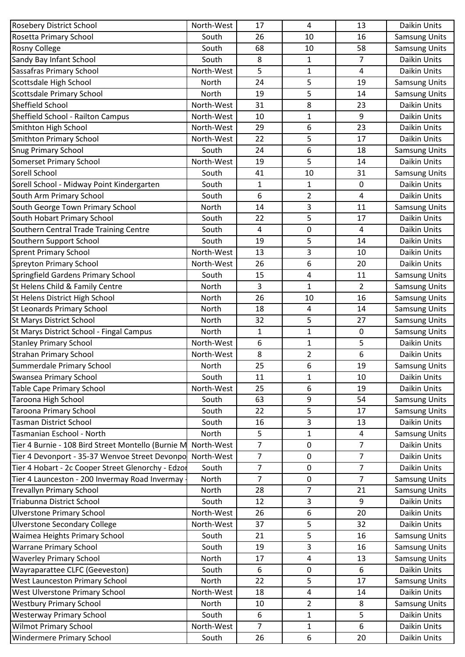| Rosetta Primary School<br>16<br>South<br>26<br>10<br><b>Samsung Units</b><br><b>Rosny College</b><br><b>Samsung Units</b><br>68<br>58<br>South<br>10<br>$\overline{7}$<br>Sandy Bay Infant School<br>8<br>Daikin Units<br>South<br>1<br>Sassafras Primary School<br>5<br>North-West<br>$\mathbf{1}$<br>4<br>Daikin Units<br>Scottsdale High School<br>5<br>24<br>19<br><b>Samsung Units</b><br>North<br>5<br>Scottsdale Primary School<br>North<br>19<br><b>Samsung Units</b><br>14<br>Sheffield School<br>Daikin Units<br>North-West<br>8<br>31<br>23<br>9<br>Sheffield School - Railton Campus<br>North-West<br>10<br>1<br>Daikin Units<br>6<br>Smithton High School<br>North-West<br>29<br>23<br>Daikin Units<br><b>Smithton Primary School</b><br>22<br>5<br>17<br>North-West<br>Daikin Units<br><b>Snug Primary School</b><br>6<br>24<br>18<br>South<br><b>Samsung Units</b><br>Somerset Primary School<br>5<br>Daikin Units<br>North-West<br>19<br>14<br>Sorell School<br>41<br>10<br>31<br><b>Samsung Units</b><br>South<br>Sorell School - Midway Point Kindergarten<br>South<br>$\mathbf{1}$<br>$\mathbf{1}$<br>0<br>Daikin Units<br>6<br>4<br>South Arm Primary School<br>$\overline{2}$<br>Daikin Units<br>South<br>3<br>South George Town Primary School<br>North<br>14<br>11<br><b>Samsung Units</b><br>South Hobart Primary School<br>5<br>17<br><b>Daikin Units</b><br>South<br>22<br>$\pmb{0}$<br>4<br>Southern Central Trade Training Centre<br>$\overline{4}$<br>Daikin Units<br>South<br>Southern Support School<br>5<br>South<br>19<br>14<br>Daikin Units<br><b>Sprent Primary School</b><br>3<br>North-West<br>10<br>Daikin Units<br>13<br>6<br><b>Spreyton Primary School</b><br>Daikin Units<br>North-West<br>26<br>20<br>Springfield Gardens Primary School<br>South<br>15<br>4<br>11<br><b>Samsung Units</b><br>St Helens Child & Family Centre<br>3<br>1<br>$\overline{2}$<br><b>Samsung Units</b><br>North<br>St Helens District High School<br>26<br>16<br><b>Samsung Units</b><br>North<br>10<br>St Leonards Primary School<br>18<br>4<br><b>Samsung Units</b><br>North<br>14<br><b>St Marys District School</b><br>5<br><b>Samsung Units</b><br>North<br>32<br>27<br>St Marys District School - Fingal Campus<br>0<br><b>Samsung Units</b><br>North<br>1<br>1<br><b>Stanley Primary School</b><br>5<br>Daikin Units<br>North-West<br>6<br>1<br><b>Strahan Primary School</b><br>6<br>8<br>Daikin Units<br>North-West<br>2<br>6<br>Summerdale Primary School<br>25<br>19<br><b>Samsung Units</b><br>North<br>Swansea Primary School<br>South<br>11<br>10<br>Daikin Units<br>1<br><b>Table Cape Primary School</b><br>North-West<br>6<br>Daikin Units<br>25<br>19<br>Taroona High School<br>South<br>63<br>9<br>54<br><b>Samsung Units</b><br>5<br><b>Taroona Primary School</b><br>South<br>22<br>17<br><b>Samsung Units</b><br><b>Tasman District School</b><br>3<br>South<br>Daikin Units<br>16<br>13<br>5<br>Tasmanian Eschool - North<br>North<br>4<br>1<br><b>Samsung Units</b><br>$\overline{7}$<br>$\overline{7}$<br>Daikin Units<br>Tier 4 Burnie - 108 Bird Street Montello (Burnie M<br>North-West<br>$\pmb{0}$<br>$\overline{7}$<br>$\overline{7}$<br>Tier 4 Devonport - 35-37 Wenvoe Street Devonpo<br>North-West<br>Daikin Units<br>$\pmb{0}$<br>Tier 4 Hobart - 2c Cooper Street Glenorchy - Edzor<br>$\overline{7}$<br>$\overline{7}$<br>South<br>$\pmb{0}$<br>Daikin Units<br>Tier 4 Launceston - 200 Invermay Road Invermay .<br>$\overline{7}$<br>North<br>$\overline{7}$<br><b>Samsung Units</b><br>$\mathbf 0$<br>7<br>21<br><b>Trevallyn Primary School</b><br>North<br>28<br><b>Samsung Units</b><br>Daikin Units<br>Triabunna District School<br>South<br>3<br>9<br>12<br>20<br><b>Ulverstone Primary School</b><br>North-West<br>26<br>6<br>Daikin Units<br><b>Ulverstone Secondary College</b><br>5<br>North-West<br>37<br>32<br>Daikin Units<br>Waimea Heights Primary School<br>5<br>South<br>16<br><b>Samsung Units</b><br>21<br><b>Warrane Primary School</b><br>3<br>South<br>19<br>16<br><b>Samsung Units</b><br><b>Waverley Primary School</b><br><b>Samsung Units</b><br>North<br>17<br>4<br>13<br>Wayraparattee CLFC (Geeveston)<br>6<br>6<br>Daikin Units<br>South<br>0<br>5<br>17<br>West Launceston Primary School<br>North<br>22<br><b>Samsung Units</b><br>Daikin Units<br>West Ulverstone Primary School<br>North-West<br>18<br>4<br>14<br>$\overline{2}$<br>8<br><b>Westbury Primary School</b><br>10<br><b>Samsung Units</b><br>North<br>5<br><b>Westerway Primary School</b><br>Daikin Units<br>South<br>6<br>$\mathbf{1}$<br><b>Wilmot Primary School</b><br>7<br>6<br>North-West<br>Daikin Units<br>1 | Rosebery District School         | North-West | 17 | 4 | 13 | Daikin Units |
|---------------------------------------------------------------------------------------------------------------------------------------------------------------------------------------------------------------------------------------------------------------------------------------------------------------------------------------------------------------------------------------------------------------------------------------------------------------------------------------------------------------------------------------------------------------------------------------------------------------------------------------------------------------------------------------------------------------------------------------------------------------------------------------------------------------------------------------------------------------------------------------------------------------------------------------------------------------------------------------------------------------------------------------------------------------------------------------------------------------------------------------------------------------------------------------------------------------------------------------------------------------------------------------------------------------------------------------------------------------------------------------------------------------------------------------------------------------------------------------------------------------------------------------------------------------------------------------------------------------------------------------------------------------------------------------------------------------------------------------------------------------------------------------------------------------------------------------------------------------------------------------------------------------------------------------------------------------------------------------------------------------------------------------------------------------------------------------------------------------------------------------------------------------------------------------------------------------------------------------------------------------------------------------------------------------------------------------------------------------------------------------------------------------------------------------------------------------------------------------------------------------------------------------------------------------------------------------------------------------------------------------------------------------------------------------------------------------------------------------------------------------------------------------------------------------------------------------------------------------------------------------------------------------------------------------------------------------------------------------------------------------------------------------------------------------------------------------------------------------------------------------------------------------------------------------------------------------------------------------------------------------------------------------------------------------------------------------------------------------------------------------------------------------------------------------------------------------------------------------------------------------------------------------------------------------------------------------------------------------------------------------------------------------------------------------------------------------------------------------------------------------------------------------------------------------------------------------------------------------------------------------------------------------------------------------------------------------------------------------------------------------------------------------------------------------------------------------------------------------------------------------------------------------------------------------------------------------------------------------------------------------------------------------------------------------------------------------------------------------------------------------------------------------------------------------------------------------------------------------------------------------------------------------------------------------------------------------------------------------------------------------------------------------------------------|----------------------------------|------------|----|---|----|--------------|
|                                                                                                                                                                                                                                                                                                                                                                                                                                                                                                                                                                                                                                                                                                                                                                                                                                                                                                                                                                                                                                                                                                                                                                                                                                                                                                                                                                                                                                                                                                                                                                                                                                                                                                                                                                                                                                                                                                                                                                                                                                                                                                                                                                                                                                                                                                                                                                                                                                                                                                                                                                                                                                                                                                                                                                                                                                                                                                                                                                                                                                                                                                                                                                                                                                                                                                                                                                                                                                                                                                                                                                                                                                                                                                                                                                                                                                                                                                                                                                                                                                                                                                                                                                                                                                                                                                                                                                                                                                                                                                                                                                                                                                                                                 |                                  |            |    |   |    |              |
|                                                                                                                                                                                                                                                                                                                                                                                                                                                                                                                                                                                                                                                                                                                                                                                                                                                                                                                                                                                                                                                                                                                                                                                                                                                                                                                                                                                                                                                                                                                                                                                                                                                                                                                                                                                                                                                                                                                                                                                                                                                                                                                                                                                                                                                                                                                                                                                                                                                                                                                                                                                                                                                                                                                                                                                                                                                                                                                                                                                                                                                                                                                                                                                                                                                                                                                                                                                                                                                                                                                                                                                                                                                                                                                                                                                                                                                                                                                                                                                                                                                                                                                                                                                                                                                                                                                                                                                                                                                                                                                                                                                                                                                                                 |                                  |            |    |   |    |              |
|                                                                                                                                                                                                                                                                                                                                                                                                                                                                                                                                                                                                                                                                                                                                                                                                                                                                                                                                                                                                                                                                                                                                                                                                                                                                                                                                                                                                                                                                                                                                                                                                                                                                                                                                                                                                                                                                                                                                                                                                                                                                                                                                                                                                                                                                                                                                                                                                                                                                                                                                                                                                                                                                                                                                                                                                                                                                                                                                                                                                                                                                                                                                                                                                                                                                                                                                                                                                                                                                                                                                                                                                                                                                                                                                                                                                                                                                                                                                                                                                                                                                                                                                                                                                                                                                                                                                                                                                                                                                                                                                                                                                                                                                                 |                                  |            |    |   |    |              |
|                                                                                                                                                                                                                                                                                                                                                                                                                                                                                                                                                                                                                                                                                                                                                                                                                                                                                                                                                                                                                                                                                                                                                                                                                                                                                                                                                                                                                                                                                                                                                                                                                                                                                                                                                                                                                                                                                                                                                                                                                                                                                                                                                                                                                                                                                                                                                                                                                                                                                                                                                                                                                                                                                                                                                                                                                                                                                                                                                                                                                                                                                                                                                                                                                                                                                                                                                                                                                                                                                                                                                                                                                                                                                                                                                                                                                                                                                                                                                                                                                                                                                                                                                                                                                                                                                                                                                                                                                                                                                                                                                                                                                                                                                 |                                  |            |    |   |    |              |
|                                                                                                                                                                                                                                                                                                                                                                                                                                                                                                                                                                                                                                                                                                                                                                                                                                                                                                                                                                                                                                                                                                                                                                                                                                                                                                                                                                                                                                                                                                                                                                                                                                                                                                                                                                                                                                                                                                                                                                                                                                                                                                                                                                                                                                                                                                                                                                                                                                                                                                                                                                                                                                                                                                                                                                                                                                                                                                                                                                                                                                                                                                                                                                                                                                                                                                                                                                                                                                                                                                                                                                                                                                                                                                                                                                                                                                                                                                                                                                                                                                                                                                                                                                                                                                                                                                                                                                                                                                                                                                                                                                                                                                                                                 |                                  |            |    |   |    |              |
|                                                                                                                                                                                                                                                                                                                                                                                                                                                                                                                                                                                                                                                                                                                                                                                                                                                                                                                                                                                                                                                                                                                                                                                                                                                                                                                                                                                                                                                                                                                                                                                                                                                                                                                                                                                                                                                                                                                                                                                                                                                                                                                                                                                                                                                                                                                                                                                                                                                                                                                                                                                                                                                                                                                                                                                                                                                                                                                                                                                                                                                                                                                                                                                                                                                                                                                                                                                                                                                                                                                                                                                                                                                                                                                                                                                                                                                                                                                                                                                                                                                                                                                                                                                                                                                                                                                                                                                                                                                                                                                                                                                                                                                                                 |                                  |            |    |   |    |              |
|                                                                                                                                                                                                                                                                                                                                                                                                                                                                                                                                                                                                                                                                                                                                                                                                                                                                                                                                                                                                                                                                                                                                                                                                                                                                                                                                                                                                                                                                                                                                                                                                                                                                                                                                                                                                                                                                                                                                                                                                                                                                                                                                                                                                                                                                                                                                                                                                                                                                                                                                                                                                                                                                                                                                                                                                                                                                                                                                                                                                                                                                                                                                                                                                                                                                                                                                                                                                                                                                                                                                                                                                                                                                                                                                                                                                                                                                                                                                                                                                                                                                                                                                                                                                                                                                                                                                                                                                                                                                                                                                                                                                                                                                                 |                                  |            |    |   |    |              |
|                                                                                                                                                                                                                                                                                                                                                                                                                                                                                                                                                                                                                                                                                                                                                                                                                                                                                                                                                                                                                                                                                                                                                                                                                                                                                                                                                                                                                                                                                                                                                                                                                                                                                                                                                                                                                                                                                                                                                                                                                                                                                                                                                                                                                                                                                                                                                                                                                                                                                                                                                                                                                                                                                                                                                                                                                                                                                                                                                                                                                                                                                                                                                                                                                                                                                                                                                                                                                                                                                                                                                                                                                                                                                                                                                                                                                                                                                                                                                                                                                                                                                                                                                                                                                                                                                                                                                                                                                                                                                                                                                                                                                                                                                 |                                  |            |    |   |    |              |
|                                                                                                                                                                                                                                                                                                                                                                                                                                                                                                                                                                                                                                                                                                                                                                                                                                                                                                                                                                                                                                                                                                                                                                                                                                                                                                                                                                                                                                                                                                                                                                                                                                                                                                                                                                                                                                                                                                                                                                                                                                                                                                                                                                                                                                                                                                                                                                                                                                                                                                                                                                                                                                                                                                                                                                                                                                                                                                                                                                                                                                                                                                                                                                                                                                                                                                                                                                                                                                                                                                                                                                                                                                                                                                                                                                                                                                                                                                                                                                                                                                                                                                                                                                                                                                                                                                                                                                                                                                                                                                                                                                                                                                                                                 |                                  |            |    |   |    |              |
|                                                                                                                                                                                                                                                                                                                                                                                                                                                                                                                                                                                                                                                                                                                                                                                                                                                                                                                                                                                                                                                                                                                                                                                                                                                                                                                                                                                                                                                                                                                                                                                                                                                                                                                                                                                                                                                                                                                                                                                                                                                                                                                                                                                                                                                                                                                                                                                                                                                                                                                                                                                                                                                                                                                                                                                                                                                                                                                                                                                                                                                                                                                                                                                                                                                                                                                                                                                                                                                                                                                                                                                                                                                                                                                                                                                                                                                                                                                                                                                                                                                                                                                                                                                                                                                                                                                                                                                                                                                                                                                                                                                                                                                                                 |                                  |            |    |   |    |              |
|                                                                                                                                                                                                                                                                                                                                                                                                                                                                                                                                                                                                                                                                                                                                                                                                                                                                                                                                                                                                                                                                                                                                                                                                                                                                                                                                                                                                                                                                                                                                                                                                                                                                                                                                                                                                                                                                                                                                                                                                                                                                                                                                                                                                                                                                                                                                                                                                                                                                                                                                                                                                                                                                                                                                                                                                                                                                                                                                                                                                                                                                                                                                                                                                                                                                                                                                                                                                                                                                                                                                                                                                                                                                                                                                                                                                                                                                                                                                                                                                                                                                                                                                                                                                                                                                                                                                                                                                                                                                                                                                                                                                                                                                                 |                                  |            |    |   |    |              |
|                                                                                                                                                                                                                                                                                                                                                                                                                                                                                                                                                                                                                                                                                                                                                                                                                                                                                                                                                                                                                                                                                                                                                                                                                                                                                                                                                                                                                                                                                                                                                                                                                                                                                                                                                                                                                                                                                                                                                                                                                                                                                                                                                                                                                                                                                                                                                                                                                                                                                                                                                                                                                                                                                                                                                                                                                                                                                                                                                                                                                                                                                                                                                                                                                                                                                                                                                                                                                                                                                                                                                                                                                                                                                                                                                                                                                                                                                                                                                                                                                                                                                                                                                                                                                                                                                                                                                                                                                                                                                                                                                                                                                                                                                 |                                  |            |    |   |    |              |
|                                                                                                                                                                                                                                                                                                                                                                                                                                                                                                                                                                                                                                                                                                                                                                                                                                                                                                                                                                                                                                                                                                                                                                                                                                                                                                                                                                                                                                                                                                                                                                                                                                                                                                                                                                                                                                                                                                                                                                                                                                                                                                                                                                                                                                                                                                                                                                                                                                                                                                                                                                                                                                                                                                                                                                                                                                                                                                                                                                                                                                                                                                                                                                                                                                                                                                                                                                                                                                                                                                                                                                                                                                                                                                                                                                                                                                                                                                                                                                                                                                                                                                                                                                                                                                                                                                                                                                                                                                                                                                                                                                                                                                                                                 |                                  |            |    |   |    |              |
|                                                                                                                                                                                                                                                                                                                                                                                                                                                                                                                                                                                                                                                                                                                                                                                                                                                                                                                                                                                                                                                                                                                                                                                                                                                                                                                                                                                                                                                                                                                                                                                                                                                                                                                                                                                                                                                                                                                                                                                                                                                                                                                                                                                                                                                                                                                                                                                                                                                                                                                                                                                                                                                                                                                                                                                                                                                                                                                                                                                                                                                                                                                                                                                                                                                                                                                                                                                                                                                                                                                                                                                                                                                                                                                                                                                                                                                                                                                                                                                                                                                                                                                                                                                                                                                                                                                                                                                                                                                                                                                                                                                                                                                                                 |                                  |            |    |   |    |              |
|                                                                                                                                                                                                                                                                                                                                                                                                                                                                                                                                                                                                                                                                                                                                                                                                                                                                                                                                                                                                                                                                                                                                                                                                                                                                                                                                                                                                                                                                                                                                                                                                                                                                                                                                                                                                                                                                                                                                                                                                                                                                                                                                                                                                                                                                                                                                                                                                                                                                                                                                                                                                                                                                                                                                                                                                                                                                                                                                                                                                                                                                                                                                                                                                                                                                                                                                                                                                                                                                                                                                                                                                                                                                                                                                                                                                                                                                                                                                                                                                                                                                                                                                                                                                                                                                                                                                                                                                                                                                                                                                                                                                                                                                                 |                                  |            |    |   |    |              |
|                                                                                                                                                                                                                                                                                                                                                                                                                                                                                                                                                                                                                                                                                                                                                                                                                                                                                                                                                                                                                                                                                                                                                                                                                                                                                                                                                                                                                                                                                                                                                                                                                                                                                                                                                                                                                                                                                                                                                                                                                                                                                                                                                                                                                                                                                                                                                                                                                                                                                                                                                                                                                                                                                                                                                                                                                                                                                                                                                                                                                                                                                                                                                                                                                                                                                                                                                                                                                                                                                                                                                                                                                                                                                                                                                                                                                                                                                                                                                                                                                                                                                                                                                                                                                                                                                                                                                                                                                                                                                                                                                                                                                                                                                 |                                  |            |    |   |    |              |
|                                                                                                                                                                                                                                                                                                                                                                                                                                                                                                                                                                                                                                                                                                                                                                                                                                                                                                                                                                                                                                                                                                                                                                                                                                                                                                                                                                                                                                                                                                                                                                                                                                                                                                                                                                                                                                                                                                                                                                                                                                                                                                                                                                                                                                                                                                                                                                                                                                                                                                                                                                                                                                                                                                                                                                                                                                                                                                                                                                                                                                                                                                                                                                                                                                                                                                                                                                                                                                                                                                                                                                                                                                                                                                                                                                                                                                                                                                                                                                                                                                                                                                                                                                                                                                                                                                                                                                                                                                                                                                                                                                                                                                                                                 |                                  |            |    |   |    |              |
|                                                                                                                                                                                                                                                                                                                                                                                                                                                                                                                                                                                                                                                                                                                                                                                                                                                                                                                                                                                                                                                                                                                                                                                                                                                                                                                                                                                                                                                                                                                                                                                                                                                                                                                                                                                                                                                                                                                                                                                                                                                                                                                                                                                                                                                                                                                                                                                                                                                                                                                                                                                                                                                                                                                                                                                                                                                                                                                                                                                                                                                                                                                                                                                                                                                                                                                                                                                                                                                                                                                                                                                                                                                                                                                                                                                                                                                                                                                                                                                                                                                                                                                                                                                                                                                                                                                                                                                                                                                                                                                                                                                                                                                                                 |                                  |            |    |   |    |              |
|                                                                                                                                                                                                                                                                                                                                                                                                                                                                                                                                                                                                                                                                                                                                                                                                                                                                                                                                                                                                                                                                                                                                                                                                                                                                                                                                                                                                                                                                                                                                                                                                                                                                                                                                                                                                                                                                                                                                                                                                                                                                                                                                                                                                                                                                                                                                                                                                                                                                                                                                                                                                                                                                                                                                                                                                                                                                                                                                                                                                                                                                                                                                                                                                                                                                                                                                                                                                                                                                                                                                                                                                                                                                                                                                                                                                                                                                                                                                                                                                                                                                                                                                                                                                                                                                                                                                                                                                                                                                                                                                                                                                                                                                                 |                                  |            |    |   |    |              |
|                                                                                                                                                                                                                                                                                                                                                                                                                                                                                                                                                                                                                                                                                                                                                                                                                                                                                                                                                                                                                                                                                                                                                                                                                                                                                                                                                                                                                                                                                                                                                                                                                                                                                                                                                                                                                                                                                                                                                                                                                                                                                                                                                                                                                                                                                                                                                                                                                                                                                                                                                                                                                                                                                                                                                                                                                                                                                                                                                                                                                                                                                                                                                                                                                                                                                                                                                                                                                                                                                                                                                                                                                                                                                                                                                                                                                                                                                                                                                                                                                                                                                                                                                                                                                                                                                                                                                                                                                                                                                                                                                                                                                                                                                 |                                  |            |    |   |    |              |
|                                                                                                                                                                                                                                                                                                                                                                                                                                                                                                                                                                                                                                                                                                                                                                                                                                                                                                                                                                                                                                                                                                                                                                                                                                                                                                                                                                                                                                                                                                                                                                                                                                                                                                                                                                                                                                                                                                                                                                                                                                                                                                                                                                                                                                                                                                                                                                                                                                                                                                                                                                                                                                                                                                                                                                                                                                                                                                                                                                                                                                                                                                                                                                                                                                                                                                                                                                                                                                                                                                                                                                                                                                                                                                                                                                                                                                                                                                                                                                                                                                                                                                                                                                                                                                                                                                                                                                                                                                                                                                                                                                                                                                                                                 |                                  |            |    |   |    |              |
|                                                                                                                                                                                                                                                                                                                                                                                                                                                                                                                                                                                                                                                                                                                                                                                                                                                                                                                                                                                                                                                                                                                                                                                                                                                                                                                                                                                                                                                                                                                                                                                                                                                                                                                                                                                                                                                                                                                                                                                                                                                                                                                                                                                                                                                                                                                                                                                                                                                                                                                                                                                                                                                                                                                                                                                                                                                                                                                                                                                                                                                                                                                                                                                                                                                                                                                                                                                                                                                                                                                                                                                                                                                                                                                                                                                                                                                                                                                                                                                                                                                                                                                                                                                                                                                                                                                                                                                                                                                                                                                                                                                                                                                                                 |                                  |            |    |   |    |              |
|                                                                                                                                                                                                                                                                                                                                                                                                                                                                                                                                                                                                                                                                                                                                                                                                                                                                                                                                                                                                                                                                                                                                                                                                                                                                                                                                                                                                                                                                                                                                                                                                                                                                                                                                                                                                                                                                                                                                                                                                                                                                                                                                                                                                                                                                                                                                                                                                                                                                                                                                                                                                                                                                                                                                                                                                                                                                                                                                                                                                                                                                                                                                                                                                                                                                                                                                                                                                                                                                                                                                                                                                                                                                                                                                                                                                                                                                                                                                                                                                                                                                                                                                                                                                                                                                                                                                                                                                                                                                                                                                                                                                                                                                                 |                                  |            |    |   |    |              |
|                                                                                                                                                                                                                                                                                                                                                                                                                                                                                                                                                                                                                                                                                                                                                                                                                                                                                                                                                                                                                                                                                                                                                                                                                                                                                                                                                                                                                                                                                                                                                                                                                                                                                                                                                                                                                                                                                                                                                                                                                                                                                                                                                                                                                                                                                                                                                                                                                                                                                                                                                                                                                                                                                                                                                                                                                                                                                                                                                                                                                                                                                                                                                                                                                                                                                                                                                                                                                                                                                                                                                                                                                                                                                                                                                                                                                                                                                                                                                                                                                                                                                                                                                                                                                                                                                                                                                                                                                                                                                                                                                                                                                                                                                 |                                  |            |    |   |    |              |
|                                                                                                                                                                                                                                                                                                                                                                                                                                                                                                                                                                                                                                                                                                                                                                                                                                                                                                                                                                                                                                                                                                                                                                                                                                                                                                                                                                                                                                                                                                                                                                                                                                                                                                                                                                                                                                                                                                                                                                                                                                                                                                                                                                                                                                                                                                                                                                                                                                                                                                                                                                                                                                                                                                                                                                                                                                                                                                                                                                                                                                                                                                                                                                                                                                                                                                                                                                                                                                                                                                                                                                                                                                                                                                                                                                                                                                                                                                                                                                                                                                                                                                                                                                                                                                                                                                                                                                                                                                                                                                                                                                                                                                                                                 |                                  |            |    |   |    |              |
|                                                                                                                                                                                                                                                                                                                                                                                                                                                                                                                                                                                                                                                                                                                                                                                                                                                                                                                                                                                                                                                                                                                                                                                                                                                                                                                                                                                                                                                                                                                                                                                                                                                                                                                                                                                                                                                                                                                                                                                                                                                                                                                                                                                                                                                                                                                                                                                                                                                                                                                                                                                                                                                                                                                                                                                                                                                                                                                                                                                                                                                                                                                                                                                                                                                                                                                                                                                                                                                                                                                                                                                                                                                                                                                                                                                                                                                                                                                                                                                                                                                                                                                                                                                                                                                                                                                                                                                                                                                                                                                                                                                                                                                                                 |                                  |            |    |   |    |              |
|                                                                                                                                                                                                                                                                                                                                                                                                                                                                                                                                                                                                                                                                                                                                                                                                                                                                                                                                                                                                                                                                                                                                                                                                                                                                                                                                                                                                                                                                                                                                                                                                                                                                                                                                                                                                                                                                                                                                                                                                                                                                                                                                                                                                                                                                                                                                                                                                                                                                                                                                                                                                                                                                                                                                                                                                                                                                                                                                                                                                                                                                                                                                                                                                                                                                                                                                                                                                                                                                                                                                                                                                                                                                                                                                                                                                                                                                                                                                                                                                                                                                                                                                                                                                                                                                                                                                                                                                                                                                                                                                                                                                                                                                                 |                                  |            |    |   |    |              |
|                                                                                                                                                                                                                                                                                                                                                                                                                                                                                                                                                                                                                                                                                                                                                                                                                                                                                                                                                                                                                                                                                                                                                                                                                                                                                                                                                                                                                                                                                                                                                                                                                                                                                                                                                                                                                                                                                                                                                                                                                                                                                                                                                                                                                                                                                                                                                                                                                                                                                                                                                                                                                                                                                                                                                                                                                                                                                                                                                                                                                                                                                                                                                                                                                                                                                                                                                                                                                                                                                                                                                                                                                                                                                                                                                                                                                                                                                                                                                                                                                                                                                                                                                                                                                                                                                                                                                                                                                                                                                                                                                                                                                                                                                 |                                  |            |    |   |    |              |
|                                                                                                                                                                                                                                                                                                                                                                                                                                                                                                                                                                                                                                                                                                                                                                                                                                                                                                                                                                                                                                                                                                                                                                                                                                                                                                                                                                                                                                                                                                                                                                                                                                                                                                                                                                                                                                                                                                                                                                                                                                                                                                                                                                                                                                                                                                                                                                                                                                                                                                                                                                                                                                                                                                                                                                                                                                                                                                                                                                                                                                                                                                                                                                                                                                                                                                                                                                                                                                                                                                                                                                                                                                                                                                                                                                                                                                                                                                                                                                                                                                                                                                                                                                                                                                                                                                                                                                                                                                                                                                                                                                                                                                                                                 |                                  |            |    |   |    |              |
|                                                                                                                                                                                                                                                                                                                                                                                                                                                                                                                                                                                                                                                                                                                                                                                                                                                                                                                                                                                                                                                                                                                                                                                                                                                                                                                                                                                                                                                                                                                                                                                                                                                                                                                                                                                                                                                                                                                                                                                                                                                                                                                                                                                                                                                                                                                                                                                                                                                                                                                                                                                                                                                                                                                                                                                                                                                                                                                                                                                                                                                                                                                                                                                                                                                                                                                                                                                                                                                                                                                                                                                                                                                                                                                                                                                                                                                                                                                                                                                                                                                                                                                                                                                                                                                                                                                                                                                                                                                                                                                                                                                                                                                                                 |                                  |            |    |   |    |              |
|                                                                                                                                                                                                                                                                                                                                                                                                                                                                                                                                                                                                                                                                                                                                                                                                                                                                                                                                                                                                                                                                                                                                                                                                                                                                                                                                                                                                                                                                                                                                                                                                                                                                                                                                                                                                                                                                                                                                                                                                                                                                                                                                                                                                                                                                                                                                                                                                                                                                                                                                                                                                                                                                                                                                                                                                                                                                                                                                                                                                                                                                                                                                                                                                                                                                                                                                                                                                                                                                                                                                                                                                                                                                                                                                                                                                                                                                                                                                                                                                                                                                                                                                                                                                                                                                                                                                                                                                                                                                                                                                                                                                                                                                                 |                                  |            |    |   |    |              |
|                                                                                                                                                                                                                                                                                                                                                                                                                                                                                                                                                                                                                                                                                                                                                                                                                                                                                                                                                                                                                                                                                                                                                                                                                                                                                                                                                                                                                                                                                                                                                                                                                                                                                                                                                                                                                                                                                                                                                                                                                                                                                                                                                                                                                                                                                                                                                                                                                                                                                                                                                                                                                                                                                                                                                                                                                                                                                                                                                                                                                                                                                                                                                                                                                                                                                                                                                                                                                                                                                                                                                                                                                                                                                                                                                                                                                                                                                                                                                                                                                                                                                                                                                                                                                                                                                                                                                                                                                                                                                                                                                                                                                                                                                 |                                  |            |    |   |    |              |
|                                                                                                                                                                                                                                                                                                                                                                                                                                                                                                                                                                                                                                                                                                                                                                                                                                                                                                                                                                                                                                                                                                                                                                                                                                                                                                                                                                                                                                                                                                                                                                                                                                                                                                                                                                                                                                                                                                                                                                                                                                                                                                                                                                                                                                                                                                                                                                                                                                                                                                                                                                                                                                                                                                                                                                                                                                                                                                                                                                                                                                                                                                                                                                                                                                                                                                                                                                                                                                                                                                                                                                                                                                                                                                                                                                                                                                                                                                                                                                                                                                                                                                                                                                                                                                                                                                                                                                                                                                                                                                                                                                                                                                                                                 |                                  |            |    |   |    |              |
|                                                                                                                                                                                                                                                                                                                                                                                                                                                                                                                                                                                                                                                                                                                                                                                                                                                                                                                                                                                                                                                                                                                                                                                                                                                                                                                                                                                                                                                                                                                                                                                                                                                                                                                                                                                                                                                                                                                                                                                                                                                                                                                                                                                                                                                                                                                                                                                                                                                                                                                                                                                                                                                                                                                                                                                                                                                                                                                                                                                                                                                                                                                                                                                                                                                                                                                                                                                                                                                                                                                                                                                                                                                                                                                                                                                                                                                                                                                                                                                                                                                                                                                                                                                                                                                                                                                                                                                                                                                                                                                                                                                                                                                                                 |                                  |            |    |   |    |              |
|                                                                                                                                                                                                                                                                                                                                                                                                                                                                                                                                                                                                                                                                                                                                                                                                                                                                                                                                                                                                                                                                                                                                                                                                                                                                                                                                                                                                                                                                                                                                                                                                                                                                                                                                                                                                                                                                                                                                                                                                                                                                                                                                                                                                                                                                                                                                                                                                                                                                                                                                                                                                                                                                                                                                                                                                                                                                                                                                                                                                                                                                                                                                                                                                                                                                                                                                                                                                                                                                                                                                                                                                                                                                                                                                                                                                                                                                                                                                                                                                                                                                                                                                                                                                                                                                                                                                                                                                                                                                                                                                                                                                                                                                                 |                                  |            |    |   |    |              |
|                                                                                                                                                                                                                                                                                                                                                                                                                                                                                                                                                                                                                                                                                                                                                                                                                                                                                                                                                                                                                                                                                                                                                                                                                                                                                                                                                                                                                                                                                                                                                                                                                                                                                                                                                                                                                                                                                                                                                                                                                                                                                                                                                                                                                                                                                                                                                                                                                                                                                                                                                                                                                                                                                                                                                                                                                                                                                                                                                                                                                                                                                                                                                                                                                                                                                                                                                                                                                                                                                                                                                                                                                                                                                                                                                                                                                                                                                                                                                                                                                                                                                                                                                                                                                                                                                                                                                                                                                                                                                                                                                                                                                                                                                 |                                  |            |    |   |    |              |
|                                                                                                                                                                                                                                                                                                                                                                                                                                                                                                                                                                                                                                                                                                                                                                                                                                                                                                                                                                                                                                                                                                                                                                                                                                                                                                                                                                                                                                                                                                                                                                                                                                                                                                                                                                                                                                                                                                                                                                                                                                                                                                                                                                                                                                                                                                                                                                                                                                                                                                                                                                                                                                                                                                                                                                                                                                                                                                                                                                                                                                                                                                                                                                                                                                                                                                                                                                                                                                                                                                                                                                                                                                                                                                                                                                                                                                                                                                                                                                                                                                                                                                                                                                                                                                                                                                                                                                                                                                                                                                                                                                                                                                                                                 |                                  |            |    |   |    |              |
|                                                                                                                                                                                                                                                                                                                                                                                                                                                                                                                                                                                                                                                                                                                                                                                                                                                                                                                                                                                                                                                                                                                                                                                                                                                                                                                                                                                                                                                                                                                                                                                                                                                                                                                                                                                                                                                                                                                                                                                                                                                                                                                                                                                                                                                                                                                                                                                                                                                                                                                                                                                                                                                                                                                                                                                                                                                                                                                                                                                                                                                                                                                                                                                                                                                                                                                                                                                                                                                                                                                                                                                                                                                                                                                                                                                                                                                                                                                                                                                                                                                                                                                                                                                                                                                                                                                                                                                                                                                                                                                                                                                                                                                                                 |                                  |            |    |   |    |              |
|                                                                                                                                                                                                                                                                                                                                                                                                                                                                                                                                                                                                                                                                                                                                                                                                                                                                                                                                                                                                                                                                                                                                                                                                                                                                                                                                                                                                                                                                                                                                                                                                                                                                                                                                                                                                                                                                                                                                                                                                                                                                                                                                                                                                                                                                                                                                                                                                                                                                                                                                                                                                                                                                                                                                                                                                                                                                                                                                                                                                                                                                                                                                                                                                                                                                                                                                                                                                                                                                                                                                                                                                                                                                                                                                                                                                                                                                                                                                                                                                                                                                                                                                                                                                                                                                                                                                                                                                                                                                                                                                                                                                                                                                                 |                                  |            |    |   |    |              |
|                                                                                                                                                                                                                                                                                                                                                                                                                                                                                                                                                                                                                                                                                                                                                                                                                                                                                                                                                                                                                                                                                                                                                                                                                                                                                                                                                                                                                                                                                                                                                                                                                                                                                                                                                                                                                                                                                                                                                                                                                                                                                                                                                                                                                                                                                                                                                                                                                                                                                                                                                                                                                                                                                                                                                                                                                                                                                                                                                                                                                                                                                                                                                                                                                                                                                                                                                                                                                                                                                                                                                                                                                                                                                                                                                                                                                                                                                                                                                                                                                                                                                                                                                                                                                                                                                                                                                                                                                                                                                                                                                                                                                                                                                 |                                  |            |    |   |    |              |
|                                                                                                                                                                                                                                                                                                                                                                                                                                                                                                                                                                                                                                                                                                                                                                                                                                                                                                                                                                                                                                                                                                                                                                                                                                                                                                                                                                                                                                                                                                                                                                                                                                                                                                                                                                                                                                                                                                                                                                                                                                                                                                                                                                                                                                                                                                                                                                                                                                                                                                                                                                                                                                                                                                                                                                                                                                                                                                                                                                                                                                                                                                                                                                                                                                                                                                                                                                                                                                                                                                                                                                                                                                                                                                                                                                                                                                                                                                                                                                                                                                                                                                                                                                                                                                                                                                                                                                                                                                                                                                                                                                                                                                                                                 |                                  |            |    |   |    |              |
|                                                                                                                                                                                                                                                                                                                                                                                                                                                                                                                                                                                                                                                                                                                                                                                                                                                                                                                                                                                                                                                                                                                                                                                                                                                                                                                                                                                                                                                                                                                                                                                                                                                                                                                                                                                                                                                                                                                                                                                                                                                                                                                                                                                                                                                                                                                                                                                                                                                                                                                                                                                                                                                                                                                                                                                                                                                                                                                                                                                                                                                                                                                                                                                                                                                                                                                                                                                                                                                                                                                                                                                                                                                                                                                                                                                                                                                                                                                                                                                                                                                                                                                                                                                                                                                                                                                                                                                                                                                                                                                                                                                                                                                                                 |                                  |            |    |   |    |              |
|                                                                                                                                                                                                                                                                                                                                                                                                                                                                                                                                                                                                                                                                                                                                                                                                                                                                                                                                                                                                                                                                                                                                                                                                                                                                                                                                                                                                                                                                                                                                                                                                                                                                                                                                                                                                                                                                                                                                                                                                                                                                                                                                                                                                                                                                                                                                                                                                                                                                                                                                                                                                                                                                                                                                                                                                                                                                                                                                                                                                                                                                                                                                                                                                                                                                                                                                                                                                                                                                                                                                                                                                                                                                                                                                                                                                                                                                                                                                                                                                                                                                                                                                                                                                                                                                                                                                                                                                                                                                                                                                                                                                                                                                                 |                                  |            |    |   |    |              |
|                                                                                                                                                                                                                                                                                                                                                                                                                                                                                                                                                                                                                                                                                                                                                                                                                                                                                                                                                                                                                                                                                                                                                                                                                                                                                                                                                                                                                                                                                                                                                                                                                                                                                                                                                                                                                                                                                                                                                                                                                                                                                                                                                                                                                                                                                                                                                                                                                                                                                                                                                                                                                                                                                                                                                                                                                                                                                                                                                                                                                                                                                                                                                                                                                                                                                                                                                                                                                                                                                                                                                                                                                                                                                                                                                                                                                                                                                                                                                                                                                                                                                                                                                                                                                                                                                                                                                                                                                                                                                                                                                                                                                                                                                 |                                  |            |    |   |    |              |
|                                                                                                                                                                                                                                                                                                                                                                                                                                                                                                                                                                                                                                                                                                                                                                                                                                                                                                                                                                                                                                                                                                                                                                                                                                                                                                                                                                                                                                                                                                                                                                                                                                                                                                                                                                                                                                                                                                                                                                                                                                                                                                                                                                                                                                                                                                                                                                                                                                                                                                                                                                                                                                                                                                                                                                                                                                                                                                                                                                                                                                                                                                                                                                                                                                                                                                                                                                                                                                                                                                                                                                                                                                                                                                                                                                                                                                                                                                                                                                                                                                                                                                                                                                                                                                                                                                                                                                                                                                                                                                                                                                                                                                                                                 |                                  |            |    |   |    |              |
|                                                                                                                                                                                                                                                                                                                                                                                                                                                                                                                                                                                                                                                                                                                                                                                                                                                                                                                                                                                                                                                                                                                                                                                                                                                                                                                                                                                                                                                                                                                                                                                                                                                                                                                                                                                                                                                                                                                                                                                                                                                                                                                                                                                                                                                                                                                                                                                                                                                                                                                                                                                                                                                                                                                                                                                                                                                                                                                                                                                                                                                                                                                                                                                                                                                                                                                                                                                                                                                                                                                                                                                                                                                                                                                                                                                                                                                                                                                                                                                                                                                                                                                                                                                                                                                                                                                                                                                                                                                                                                                                                                                                                                                                                 |                                  |            |    |   |    |              |
|                                                                                                                                                                                                                                                                                                                                                                                                                                                                                                                                                                                                                                                                                                                                                                                                                                                                                                                                                                                                                                                                                                                                                                                                                                                                                                                                                                                                                                                                                                                                                                                                                                                                                                                                                                                                                                                                                                                                                                                                                                                                                                                                                                                                                                                                                                                                                                                                                                                                                                                                                                                                                                                                                                                                                                                                                                                                                                                                                                                                                                                                                                                                                                                                                                                                                                                                                                                                                                                                                                                                                                                                                                                                                                                                                                                                                                                                                                                                                                                                                                                                                                                                                                                                                                                                                                                                                                                                                                                                                                                                                                                                                                                                                 |                                  |            |    |   |    |              |
|                                                                                                                                                                                                                                                                                                                                                                                                                                                                                                                                                                                                                                                                                                                                                                                                                                                                                                                                                                                                                                                                                                                                                                                                                                                                                                                                                                                                                                                                                                                                                                                                                                                                                                                                                                                                                                                                                                                                                                                                                                                                                                                                                                                                                                                                                                                                                                                                                                                                                                                                                                                                                                                                                                                                                                                                                                                                                                                                                                                                                                                                                                                                                                                                                                                                                                                                                                                                                                                                                                                                                                                                                                                                                                                                                                                                                                                                                                                                                                                                                                                                                                                                                                                                                                                                                                                                                                                                                                                                                                                                                                                                                                                                                 |                                  |            |    |   |    |              |
|                                                                                                                                                                                                                                                                                                                                                                                                                                                                                                                                                                                                                                                                                                                                                                                                                                                                                                                                                                                                                                                                                                                                                                                                                                                                                                                                                                                                                                                                                                                                                                                                                                                                                                                                                                                                                                                                                                                                                                                                                                                                                                                                                                                                                                                                                                                                                                                                                                                                                                                                                                                                                                                                                                                                                                                                                                                                                                                                                                                                                                                                                                                                                                                                                                                                                                                                                                                                                                                                                                                                                                                                                                                                                                                                                                                                                                                                                                                                                                                                                                                                                                                                                                                                                                                                                                                                                                                                                                                                                                                                                                                                                                                                                 |                                  |            |    |   |    |              |
|                                                                                                                                                                                                                                                                                                                                                                                                                                                                                                                                                                                                                                                                                                                                                                                                                                                                                                                                                                                                                                                                                                                                                                                                                                                                                                                                                                                                                                                                                                                                                                                                                                                                                                                                                                                                                                                                                                                                                                                                                                                                                                                                                                                                                                                                                                                                                                                                                                                                                                                                                                                                                                                                                                                                                                                                                                                                                                                                                                                                                                                                                                                                                                                                                                                                                                                                                                                                                                                                                                                                                                                                                                                                                                                                                                                                                                                                                                                                                                                                                                                                                                                                                                                                                                                                                                                                                                                                                                                                                                                                                                                                                                                                                 |                                  |            |    |   |    |              |
|                                                                                                                                                                                                                                                                                                                                                                                                                                                                                                                                                                                                                                                                                                                                                                                                                                                                                                                                                                                                                                                                                                                                                                                                                                                                                                                                                                                                                                                                                                                                                                                                                                                                                                                                                                                                                                                                                                                                                                                                                                                                                                                                                                                                                                                                                                                                                                                                                                                                                                                                                                                                                                                                                                                                                                                                                                                                                                                                                                                                                                                                                                                                                                                                                                                                                                                                                                                                                                                                                                                                                                                                                                                                                                                                                                                                                                                                                                                                                                                                                                                                                                                                                                                                                                                                                                                                                                                                                                                                                                                                                                                                                                                                                 |                                  |            |    |   |    |              |
|                                                                                                                                                                                                                                                                                                                                                                                                                                                                                                                                                                                                                                                                                                                                                                                                                                                                                                                                                                                                                                                                                                                                                                                                                                                                                                                                                                                                                                                                                                                                                                                                                                                                                                                                                                                                                                                                                                                                                                                                                                                                                                                                                                                                                                                                                                                                                                                                                                                                                                                                                                                                                                                                                                                                                                                                                                                                                                                                                                                                                                                                                                                                                                                                                                                                                                                                                                                                                                                                                                                                                                                                                                                                                                                                                                                                                                                                                                                                                                                                                                                                                                                                                                                                                                                                                                                                                                                                                                                                                                                                                                                                                                                                                 |                                  |            |    |   |    |              |
|                                                                                                                                                                                                                                                                                                                                                                                                                                                                                                                                                                                                                                                                                                                                                                                                                                                                                                                                                                                                                                                                                                                                                                                                                                                                                                                                                                                                                                                                                                                                                                                                                                                                                                                                                                                                                                                                                                                                                                                                                                                                                                                                                                                                                                                                                                                                                                                                                                                                                                                                                                                                                                                                                                                                                                                                                                                                                                                                                                                                                                                                                                                                                                                                                                                                                                                                                                                                                                                                                                                                                                                                                                                                                                                                                                                                                                                                                                                                                                                                                                                                                                                                                                                                                                                                                                                                                                                                                                                                                                                                                                                                                                                                                 |                                  |            |    |   |    |              |
|                                                                                                                                                                                                                                                                                                                                                                                                                                                                                                                                                                                                                                                                                                                                                                                                                                                                                                                                                                                                                                                                                                                                                                                                                                                                                                                                                                                                                                                                                                                                                                                                                                                                                                                                                                                                                                                                                                                                                                                                                                                                                                                                                                                                                                                                                                                                                                                                                                                                                                                                                                                                                                                                                                                                                                                                                                                                                                                                                                                                                                                                                                                                                                                                                                                                                                                                                                                                                                                                                                                                                                                                                                                                                                                                                                                                                                                                                                                                                                                                                                                                                                                                                                                                                                                                                                                                                                                                                                                                                                                                                                                                                                                                                 |                                  |            |    |   |    |              |
|                                                                                                                                                                                                                                                                                                                                                                                                                                                                                                                                                                                                                                                                                                                                                                                                                                                                                                                                                                                                                                                                                                                                                                                                                                                                                                                                                                                                                                                                                                                                                                                                                                                                                                                                                                                                                                                                                                                                                                                                                                                                                                                                                                                                                                                                                                                                                                                                                                                                                                                                                                                                                                                                                                                                                                                                                                                                                                                                                                                                                                                                                                                                                                                                                                                                                                                                                                                                                                                                                                                                                                                                                                                                                                                                                                                                                                                                                                                                                                                                                                                                                                                                                                                                                                                                                                                                                                                                                                                                                                                                                                                                                                                                                 | <b>Windermere Primary School</b> | South      | 26 | 6 | 20 | Daikin Units |